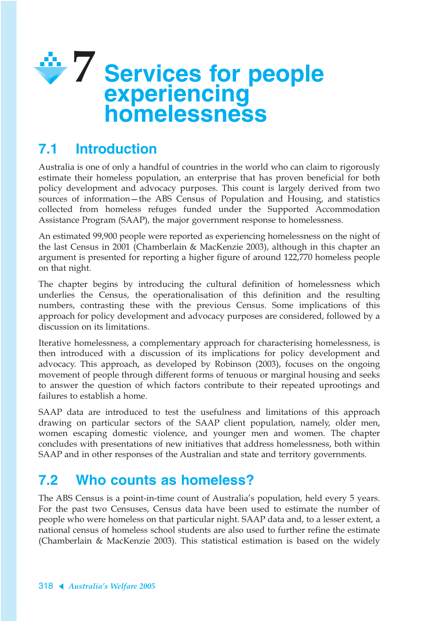

# **7.1 Introduction**

Australia is one of only a handful of countries in the world who can claim to rigorously estimate their homeless population, an enterprise that has proven beneficial for both policy development and advocacy purposes. This count is largely derived from two sources of information—the ABS Census of Population and Housing, and statistics collected from homeless refuges funded under the Supported Accommodation Assistance Program (SAAP), the major government response to homelessness.

An estimated 99,900 people were reported as experiencing homelessness on the night of the last Census in 2001 (Chamberlain & MacKenzie 2003), although in this chapter an argument is presented for reporting a higher figure of around 122,770 homeless people on that night.

The chapter begins by introducing the cultural definition of homelessness which underlies the Census, the operationalisation of this definition and the resulting numbers, contrasting these with the previous Census. Some implications of this approach for policy development and advocacy purposes are considered, followed by a discussion on its limitations.

Iterative homelessness, a complementary approach for characterising homelessness, is then introduced with a discussion of its implications for policy development and advocacy. This approach, as developed by Robinson (2003), focuses on the ongoing movement of people through different forms of tenuous or marginal housing and seeks to answer the question of which factors contribute to their repeated uprootings and failures to establish a home.

SAAP data are introduced to test the usefulness and limitations of this approach drawing on particular sectors of the SAAP client population, namely, older men, women escaping domestic violence, and younger men and women. The chapter concludes with presentations of new initiatives that address homelessness, both within SAAP and in other responses of the Australian and state and territory governments.

# **7.2 Who counts as homeless?**

The ABS Census is a point-in-time count of Australia's population, held every 5 years. For the past two Censuses, Census data have been used to estimate the number of people who were homeless on that particular night. SAAP data and, to a lesser extent, a national census of homeless school students are also used to further refine the estimate (Chamberlain & MacKenzie 2003). This statistical estimation is based on the widely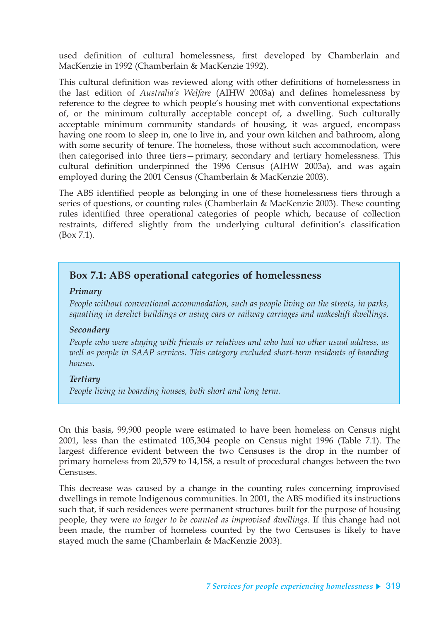used definition of cultural homelessness, first developed by Chamberlain and MacKenzie in 1992 (Chamberlain & MacKenzie 1992).

This cultural definition was reviewed along with other definitions of homelessness in the last edition of *Australia's Welfare* (AIHW 2003a) and defines homelessness by reference to the degree to which people's housing met with conventional expectations of, or the minimum culturally acceptable concept of, a dwelling. Such culturally acceptable minimum community standards of housing, it was argued, encompass having one room to sleep in, one to live in, and your own kitchen and bathroom, along with some security of tenure. The homeless, those without such accommodation, were then categorised into three tiers—primary, secondary and tertiary homelessness. This cultural definition underpinned the 1996 Census (AIHW 2003a), and was again employed during the 2001 Census (Chamberlain & MacKenzie 2003).

The ABS identified people as belonging in one of these homelessness tiers through a series of questions, or counting rules (Chamberlain & MacKenzie 2003). These counting rules identified three operational categories of people which, because of collection restraints, differed slightly from the underlying cultural definition's classification (Box 7.1).

### **Box 7.1: ABS operational categories of homelessness**

#### *Primary*

*People without conventional accommodation, such as people living on the streets, in parks, squatting in derelict buildings or using cars or railway carriages and makeshift dwellings.*

#### *Secondary*

*People who were staying with friends or relatives and who had no other usual address, as well as people in SAAP services. This category excluded short-term residents of boarding houses.*

#### *Tertiary*

*People living in boarding houses, both short and long term.*

On this basis, 99,900 people were estimated to have been homeless on Census night 2001, less than the estimated 105,304 people on Census night 1996 (Table 7.1). The largest difference evident between the two Censuses is the drop in the number of primary homeless from 20,579 to 14,158, a result of procedural changes between the two Censuses.

This decrease was caused by a change in the counting rules concerning improvised dwellings in remote Indigenous communities. In 2001, the ABS modified its instructions such that, if such residences were permanent structures built for the purpose of housing people, they were *no longer to be counted as improvised dwellings*. If this change had not been made, the number of homeless counted by the two Censuses is likely to have stayed much the same (Chamberlain & MacKenzie 2003).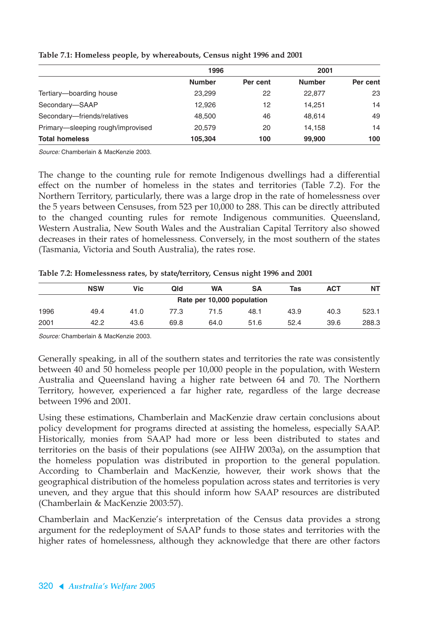|                                   | 1996          |          | 2001          |          |
|-----------------------------------|---------------|----------|---------------|----------|
|                                   | <b>Number</b> | Per cent | <b>Number</b> | Per cent |
| Tertiary-boarding house           | 23,299        | 22       | 22,877        | 23       |
| Secondary-SAAP                    | 12,926        | 12       | 14.251        | 14       |
| Secondary-friends/relatives       | 48,500        | 46       | 48.614        | 49       |
| Primary-sleeping rough/improvised | 20,579        | 20       | 14,158        | 14       |
| <b>Total homeless</b>             | 105,304       | 100      | 99,900        | 100      |

#### **Table 7.1: Homeless people, by whereabouts, Census night 1996 and 2001**

Source: Chamberlain & MacKenzie 2003.

The change to the counting rule for remote Indigenous dwellings had a differential effect on the number of homeless in the states and territories (Table 7.2). For the Northern Territory, particularly, there was a large drop in the rate of homelessness over the 5 years between Censuses, from 523 per 10,000 to 288. This can be directly attributed to the changed counting rules for remote Indigenous communities. Queensland, Western Australia, New South Wales and the Australian Capital Territory also showed decreases in their rates of homelessness. Conversely, in the most southern of the states (Tasmania, Victoria and South Australia), the rates rose.

**Table 7.2: Homelessness rates, by state/territory, Census night 1996 and 2001**

|                            | <b>NSW</b> | Vic  | Qld  | <b>WA</b> | SΑ   | Tas  | <b>ACT</b> | <b>NT</b> |  |  |  |
|----------------------------|------------|------|------|-----------|------|------|------------|-----------|--|--|--|
| Rate per 10,000 population |            |      |      |           |      |      |            |           |  |  |  |
| 1996                       | 49.4       | 41.0 | 77.3 | 71.5      | 48.1 | 43.9 | 40.3       | 523.1     |  |  |  |
| 2001                       | 42.2       | 43.6 | 69.8 | 64.0      | 51.6 | 52.4 | 39.6       | 288.3     |  |  |  |

Source: Chamberlain & MacKenzie 2003.

Generally speaking, in all of the southern states and territories the rate was consistently between 40 and 50 homeless people per 10,000 people in the population, with Western Australia and Queensland having a higher rate between 64 and 70. The Northern Territory, however, experienced a far higher rate, regardless of the large decrease between 1996 and 2001.

Using these estimations, Chamberlain and MacKenzie draw certain conclusions about policy development for programs directed at assisting the homeless, especially SAAP. Historically, monies from SAAP had more or less been distributed to states and territories on the basis of their populations (see AIHW 2003a), on the assumption that the homeless population was distributed in proportion to the general population. According to Chamberlain and MacKenzie, however, their work shows that the geographical distribution of the homeless population across states and territories is very uneven, and they argue that this should inform how SAAP resources are distributed (Chamberlain & MacKenzie 2003:57).

Chamberlain and MacKenzie's interpretation of the Census data provides a strong argument for the redeployment of SAAP funds to those states and territories with the higher rates of homelessness, although they acknowledge that there are other factors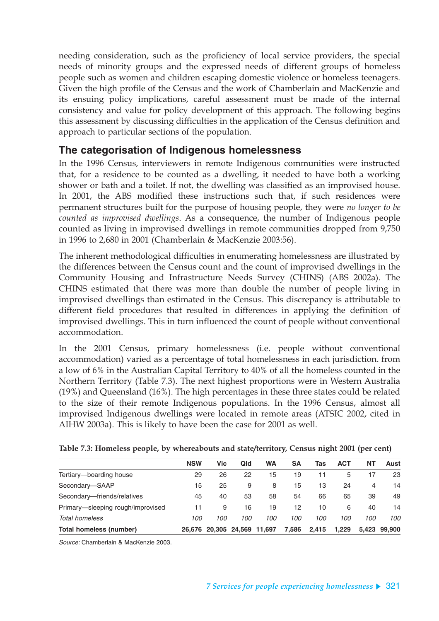needing consideration, such as the proficiency of local service providers, the special needs of minority groups and the expressed needs of different groups of homeless people such as women and children escaping domestic violence or homeless teenagers. Given the high profile of the Census and the work of Chamberlain and MacKenzie and its ensuing policy implications, careful assessment must be made of the internal consistency and value for policy development of this approach. The following begins this assessment by discussing difficulties in the application of the Census definition and approach to particular sections of the population.

## **The categorisation of Indigenous homelessness**

In the 1996 Census, interviewers in remote Indigenous communities were instructed that, for a residence to be counted as a dwelling, it needed to have both a working shower or bath and a toilet. If not, the dwelling was classified as an improvised house. In 2001, the ABS modified these instructions such that, if such residences were permanent structures built for the purpose of housing people, they were *no longer to be counted as improvised dwellings*. As a consequence, the number of Indigenous people counted as living in improvised dwellings in remote communities dropped from 9,750 in 1996 to 2,680 in 2001 (Chamberlain & MacKenzie 2003:56).

The inherent methodological difficulties in enumerating homelessness are illustrated by the differences between the Census count and the count of improvised dwellings in the Community Housing and Infrastructure Needs Survey (CHINS) (ABS 2002a). The CHINS estimated that there was more than double the number of people living in improvised dwellings than estimated in the Census. This discrepancy is attributable to different field procedures that resulted in differences in applying the definition of improvised dwellings. This in turn influenced the count of people without conventional accommodation.

In the 2001 Census, primary homelessness (i.e. people without conventional accommodation) varied as a percentage of total homelessness in each jurisdiction. from a low of 6% in the Australian Capital Territory to 40% of all the homeless counted in the Northern Territory (Table 7.3). The next highest proportions were in Western Australia (19%) and Queensland (16%). The high percentages in these three states could be related to the size of their remote Indigenous populations. In the 1996 Census, almost all improvised Indigenous dwellings were located in remote areas (ATSIC 2002, cited in AIHW 2003a). This is likely to have been the case for 2001 as well.

|                                   | <b>NSW</b> | Vic | Qld           | WA     | <b>SA</b> | Tas   | <b>ACT</b> | NΤ  | Aust         |
|-----------------------------------|------------|-----|---------------|--------|-----------|-------|------------|-----|--------------|
| Tertiary-boarding house           | 29         | 26  | 22            | 15     | 19        | 11    | 5          | 17  | 23           |
| Secondary-SAAP                    | 15         | 25  | 9             | 8      | 15        | 13    | 24         | 4   | 14           |
| Secondary-friends/relatives       | 45         | 40  | 53            | 58     | 54        | 66    | 65         | 39  | 49           |
| Primary—sleeping rough/improvised | 11         | 9   | 16            | 19     | 12        | 10    | 6          | 40  | 14           |
| Total homeless                    | 100        | 100 | 100           | 100    | 100       | 100   | 100        | 100 | 100          |
| Total homeless (number)           | 26.676     |     | 20.305 24.569 | 11,697 | 7,586     | 2.415 | 1.229      |     | 5.423 99.900 |

**Table 7.3: Homeless people, by whereabouts and state/territory, Census night 2001 (per cent)**

Source: Chamberlain & MacKenzie 2003.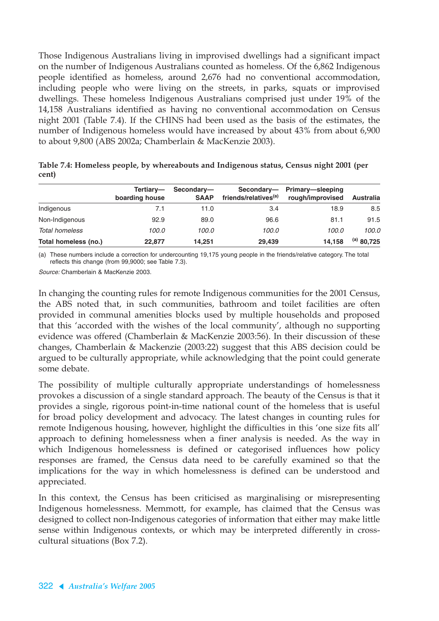Those Indigenous Australians living in improvised dwellings had a significant impact on the number of Indigenous Australians counted as homeless. Of the 6,862 Indigenous people identified as homeless, around 2,676 had no conventional accommodation, including people who were living on the streets, in parks, squats or improvised dwellings. These homeless Indigenous Australians comprised just under 19% of the 14,158 Australians identified as having no conventional accommodation on Census night 2001 (Table 7.4). If the CHINS had been used as the basis of the estimates, the number of Indigenous homeless would have increased by about 43% from about 6,900 to about 9,800 (ABS 2002a; Chamberlain & MacKenzie 2003).

|                      | Tertiary-<br>boarding house | Secondary-<br><b>SAAP</b> | Secondary-<br>friends/relatives <sup>(a)</sup> | Primary-sleeping<br>rough/improvised | <b>Australia</b> |
|----------------------|-----------------------------|---------------------------|------------------------------------------------|--------------------------------------|------------------|
| Indigenous           | 7.1                         | 11.0                      | 3.4                                            | 18.9                                 | 8.5              |
| Non-Indigenous       | 92.9                        | 89.0                      | 96.6                                           | 81.1                                 | 91.5             |
| Total homeless       | 100.0                       | 100.0                     | 100.0                                          | 100.0                                | 100.0            |
| Total homeless (no.) | 22.877                      | 14,251                    | 29.439                                         | 14.158                               | $^{(a)}$ 80,725  |

**Table 7.4: Homeless people, by whereabouts and Indigenous status, Census night 2001 (per cent)**

(a) These numbers include a correction for undercounting 19,175 young people in the friends/relative category. The total reflects this change (from 99,9000; see Table 7.3).

Source: Chamberlain & MacKenzie 2003.

In changing the counting rules for remote Indigenous communities for the 2001 Census, the ABS noted that, in such communities, bathroom and toilet facilities are often provided in communal amenities blocks used by multiple households and proposed that this 'accorded with the wishes of the local community', although no supporting evidence was offered (Chamberlain & MacKenzie 2003:56). In their discussion of these changes, Chamberlain & Mackenzie (2003:22) suggest that this ABS decision could be argued to be culturally appropriate, while acknowledging that the point could generate some debate.

The possibility of multiple culturally appropriate understandings of homelessness provokes a discussion of a single standard approach. The beauty of the Census is that it provides a single, rigorous point-in-time national count of the homeless that is useful for broad policy development and advocacy. The latest changes in counting rules for remote Indigenous housing, however, highlight the difficulties in this 'one size fits all' approach to defining homelessness when a finer analysis is needed. As the way in which Indigenous homelessness is defined or categorised influences how policy responses are framed, the Census data need to be carefully examined so that the implications for the way in which homelessness is defined can be understood and appreciated.

In this context, the Census has been criticised as marginalising or misrepresenting Indigenous homelessness. Memmott, for example, has claimed that the Census was designed to collect non-Indigenous categories of information that either may make little sense within Indigenous contexts, or which may be interpreted differently in crosscultural situations (Box 7.2).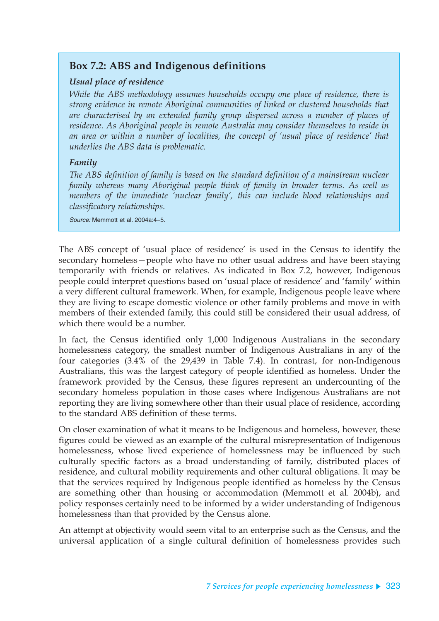## **Box 7.2: ABS and Indigenous definitions**

#### *Usual place of residence*

*While the ABS methodology assumes households occupy one place of residence, there is strong evidence in remote Aboriginal communities of linked or clustered households that are characterised by an extended family group dispersed across a number of places of residence. As Aboriginal people in remote Australia may consider themselves to reside in an area or within a number of localities, the concept of 'usual place of residence' that underlies the ABS data is problematic.*

### *Family*

*The ABS definition of family is based on the standard definition of a mainstream nuclear family whereas many Aboriginal people think of family in broader terms. As well as members of the immediate 'nuclear family', this can include blood relationships and classificatory relationships.*

Source: Memmott et al. 2004a:4–5.

The ABS concept of 'usual place of residence' is used in the Census to identify the secondary homeless—people who have no other usual address and have been staying temporarily with friends or relatives. As indicated in Box 7.2, however, Indigenous people could interpret questions based on 'usual place of residence' and 'family' within a very different cultural framework. When, for example, Indigenous people leave where they are living to escape domestic violence or other family problems and move in with members of their extended family, this could still be considered their usual address, of which there would be a number.

In fact, the Census identified only 1,000 Indigenous Australians in the secondary homelessness category, the smallest number of Indigenous Australians in any of the four categories (3.4% of the 29,439 in Table 7.4). In contrast, for non-Indigenous Australians, this was the largest category of people identified as homeless. Under the framework provided by the Census, these figures represent an undercounting of the secondary homeless population in those cases where Indigenous Australians are not reporting they are living somewhere other than their usual place of residence, according to the standard ABS definition of these terms.

On closer examination of what it means to be Indigenous and homeless, however, these figures could be viewed as an example of the cultural misrepresentation of Indigenous homelessness, whose lived experience of homelessness may be influenced by such culturally specific factors as a broad understanding of family, distributed places of residence, and cultural mobility requirements and other cultural obligations. It may be that the services required by Indigenous people identified as homeless by the Census are something other than housing or accommodation (Memmott et al. 2004b), and policy responses certainly need to be informed by a wider understanding of Indigenous homelessness than that provided by the Census alone.

An attempt at objectivity would seem vital to an enterprise such as the Census, and the universal application of a single cultural definition of homelessness provides such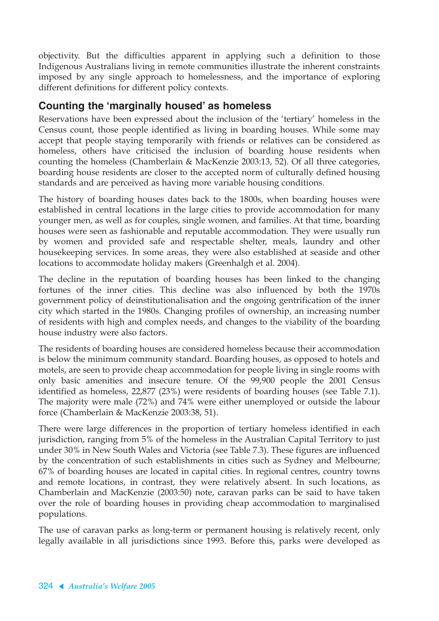objectivity. But the difficulties apparent in applying such a definition to those Indigenous Australians living in remote communities illustrate the inherent constraints imposed by any single approach to homelessness, and the importance of exploring different definitions for different policy contexts.

### **Counting the 'marginally housed' as homeless**

Reservations have been expressed about the inclusion of the 'tertiary' homeless in the Census count, those people identified as living in boarding houses. While some may accept that people staying temporarily with friends or relatives can be considered as homeless, others have criticised the inclusion of boarding house residents when counting the homeless (Chamberlain & MacKenzie 2003:13, 52). Of all three categories, boarding house residents are closer to the accepted norm of culturally defined housing standards and are perceived as having more variable housing conditions.

The history of boarding houses dates back to the 1800s, when boarding houses were established in central locations in the large cities to provide accommodation for many younger men, as well as for couples, single women, and families. At that time, boarding houses were seen as fashionable and reputable accommodation. They were usually run by women and provided safe and respectable shelter, meals, laundry and other housekeeping services. In some areas, they were also established at seaside and other locations to accommodate holiday makers (Greenhalgh et al. 2004).

The decline in the reputation of boarding houses has been linked to the changing fortunes of the inner cities. This decline was also influenced by both the 1970s government policy of deinstitutionalisation and the ongoing gentrification of the inner city which started in the 1980s. Changing profiles of ownership, an increasing number of residents with high and complex needs, and changes to the viability of the boarding house industry were also factors.

The residents of boarding houses are considered homeless because their accommodation is below the minimum community standard. Boarding houses, as opposed to hotels and motels, are seen to provide cheap accommodation for people living in single rooms with only basic amenities and insecure tenure. Of the 99,900 people the 2001 Census identified as homeless, 22,877 (23%) were residents of boarding houses (see Table 7.1). The majority were male (72%) and 74% were either unemployed or outside the labour force (Chamberlain & MacKenzie 2003:38, 51).

There were large differences in the proportion of tertiary homeless identified in each jurisdiction, ranging from 5% of the homeless in the Australian Capital Territory to just under 30% in New South Wales and Victoria (see Table 7.3). These figures are influenced by the concentration of such establishments in cities such as Sydney and Melbourne; 67% of boarding houses are located in capital cities. In regional centres, country towns and remote locations, in contrast, they were relatively absent. In such locations, as Chamberlain and MacKenzie (2003:50) note, caravan parks can be said to have taken over the role of boarding houses in providing cheap accommodation to marginalised populations.

The use of caravan parks as long-term or permanent housing is relatively recent, only legally available in all jurisdictions since 1993. Before this, parks were developed as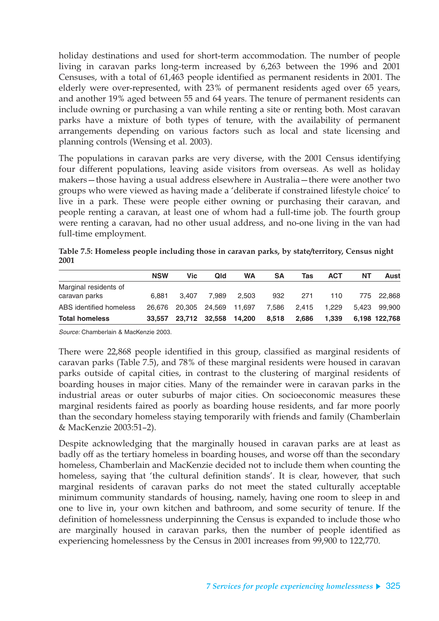holiday destinations and used for short-term accommodation. The number of people living in caravan parks long-term increased by 6,263 between the 1996 and 2001 Censuses, with a total of 61,463 people identified as permanent residents in 2001. The elderly were over-represented, with 23% of permanent residents aged over 65 years, and another 19% aged between 55 and 64 years. The tenure of permanent residents can include owning or purchasing a van while renting a site or renting both. Most caravan parks have a mixture of both types of tenure, with the availability of permanent arrangements depending on various factors such as local and state licensing and planning controls (Wensing et al. 2003).

The populations in caravan parks are very diverse, with the 2001 Census identifying four different populations, leaving aside visitors from overseas. As well as holiday makers—those having a usual address elsewhere in Australia—there were another two groups who were viewed as having made a 'deliberate if constrained lifestyle choice' to live in a park. These were people either owning or purchasing their caravan, and people renting a caravan, at least one of whom had a full-time job. The fourth group were renting a caravan, had no other usual address, and no-one living in the van had full-time employment.

|                         | <b>NSW</b> | <b>Vic</b> | Qld                  | <b>WA</b> | SΑ          | Tas   | <b>ACT</b> | NΤ | Aust          |
|-------------------------|------------|------------|----------------------|-----------|-------------|-------|------------|----|---------------|
| Marginal residents of   |            |            |                      |           |             |       |            |    |               |
| caravan parks           | 6.881      | 3.407      | 7.989                | 2.503     | 932         | 271   | 110        |    | 775 22.868    |
| ABS identified homeless | 26.676     |            | 20.305 24.569        | 11.697    | 7,586 2,415 |       | 1.229      |    | 5,423 99,900  |
| <b>Total homeless</b>   | 33.557     |            | 23,712 32,558 14,200 |           | 8.518       | 2.686 | 1.339      |    | 6.198 122.768 |

**Table 7.5: Homeless people including those in caravan parks, by state/territory, Census night 2001**

Source: Chamberlain & MacKenzie 2003.

There were 22,868 people identified in this group, classified as marginal residents of caravan parks (Table 7.5), and 78% of these marginal residents were housed in caravan parks outside of capital cities, in contrast to the clustering of marginal residents of boarding houses in major cities. Many of the remainder were in caravan parks in the industrial areas or outer suburbs of major cities. On socioeconomic measures these marginal residents faired as poorly as boarding house residents, and far more poorly than the secondary homeless staying temporarily with friends and family (Chamberlain & MacKenzie 2003:51–2).

Despite acknowledging that the marginally housed in caravan parks are at least as badly off as the tertiary homeless in boarding houses, and worse off than the secondary homeless, Chamberlain and MacKenzie decided not to include them when counting the homeless, saying that 'the cultural definition stands'. It is clear, however, that such marginal residents of caravan parks do not meet the stated culturally acceptable minimum community standards of housing, namely, having one room to sleep in and one to live in, your own kitchen and bathroom, and some security of tenure. If the definition of homelessness underpinning the Census is expanded to include those who are marginally housed in caravan parks, then the number of people identified as experiencing homelessness by the Census in 2001 increases from 99,900 to 122,770.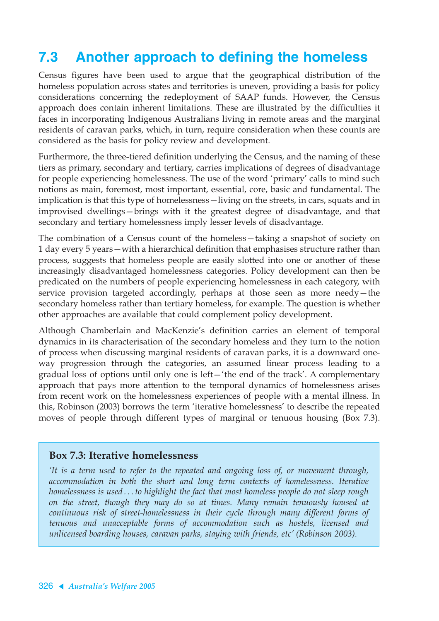# **7.3 Another approach to defining the homeless**

Census figures have been used to argue that the geographical distribution of the homeless population across states and territories is uneven, providing a basis for policy considerations concerning the redeployment of SAAP funds. However, the Census approach does contain inherent limitations. These are illustrated by the difficulties it faces in incorporating Indigenous Australians living in remote areas and the marginal residents of caravan parks, which, in turn, require consideration when these counts are considered as the basis for policy review and development.

Furthermore, the three-tiered definition underlying the Census, and the naming of these tiers as primary, secondary and tertiary, carries implications of degrees of disadvantage for people experiencing homelessness. The use of the word 'primary' calls to mind such notions as main, foremost, most important, essential, core, basic and fundamental. The implication is that this type of homelessness—living on the streets, in cars, squats and in improvised dwellings—brings with it the greatest degree of disadvantage, and that secondary and tertiary homelessness imply lesser levels of disadvantage.

The combination of a Census count of the homeless—taking a snapshot of society on 1 day every 5 years—with a hierarchical definition that emphasises structure rather than process, suggests that homeless people are easily slotted into one or another of these increasingly disadvantaged homelessness categories. Policy development can then be predicated on the numbers of people experiencing homelessness in each category, with service provision targeted accordingly, perhaps at those seen as more needy—the secondary homeless rather than tertiary homeless, for example. The question is whether other approaches are available that could complement policy development.

Although Chamberlain and MacKenzie's definition carries an element of temporal dynamics in its characterisation of the secondary homeless and they turn to the notion of process when discussing marginal residents of caravan parks, it is a downward oneway progression through the categories, an assumed linear process leading to a gradual loss of options until only one is left—'the end of the track'. A complementary approach that pays more attention to the temporal dynamics of homelessness arises from recent work on the homelessness experiences of people with a mental illness. In this, Robinson (2003) borrows the term 'iterative homelessness' to describe the repeated moves of people through different types of marginal or tenuous housing (Box 7.3).

#### **Box 7.3: Iterative homelessness**

*'It is a term used to refer to the repeated and ongoing loss of, or movement through, accommodation in both the short and long term contexts of homelessness. Iterative homelessness is used . . . to highlight the fact that most homeless people do not sleep rough on the street, though they may do so at times. Many remain tenuously housed at continuous risk of street-homelessness in their cycle through many different forms of tenuous and unacceptable forms of accommodation such as hostels, licensed and unlicensed boarding houses, caravan parks, staying with friends, etc' (Robinson 2003).*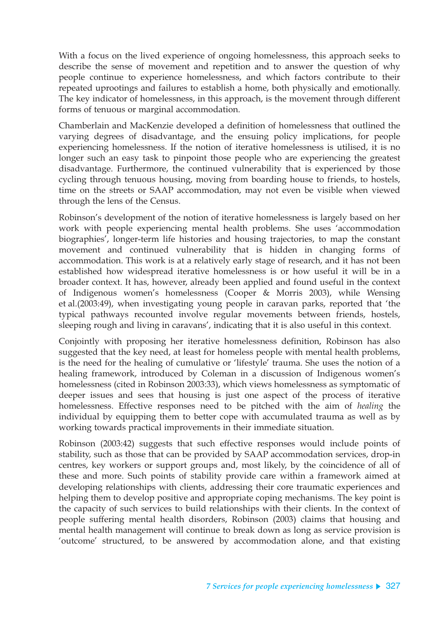With a focus on the lived experience of ongoing homelessness, this approach seeks to describe the sense of movement and repetition and to answer the question of why people continue to experience homelessness, and which factors contribute to their repeated uprootings and failures to establish a home, both physically and emotionally. The key indicator of homelessness, in this approach, is the movement through different forms of tenuous or marginal accommodation.

Chamberlain and MacKenzie developed a definition of homelessness that outlined the varying degrees of disadvantage, and the ensuing policy implications, for people experiencing homelessness. If the notion of iterative homelessness is utilised, it is no longer such an easy task to pinpoint those people who are experiencing the greatest disadvantage. Furthermore, the continued vulnerability that is experienced by those cycling through tenuous housing, moving from boarding house to friends, to hostels, time on the streets or SAAP accommodation, may not even be visible when viewed through the lens of the Census.

Robinson's development of the notion of iterative homelessness is largely based on her work with people experiencing mental health problems. She uses 'accommodation biographies', longer-term life histories and housing trajectories, to map the constant movement and continued vulnerability that is hidden in changing forms of accommodation. This work is at a relatively early stage of research, and it has not been established how widespread iterative homelessness is or how useful it will be in a broader context. It has, however, already been applied and found useful in the context of Indigenous women's homelessness (Cooper & Morris 2003), while Wensing et al.(2003:49), when investigating young people in caravan parks, reported that 'the typical pathways recounted involve regular movements between friends, hostels, sleeping rough and living in caravans', indicating that it is also useful in this context.

Conjointly with proposing her iterative homelessness definition, Robinson has also suggested that the key need, at least for homeless people with mental health problems, is the need for the healing of cumulative or 'lifestyle' trauma. She uses the notion of a healing framework, introduced by Coleman in a discussion of Indigenous women's homelessness (cited in Robinson 2003:33), which views homelessness as symptomatic of deeper issues and sees that housing is just one aspect of the process of iterative homelessness. Effective responses need to be pitched with the aim of *healing* the individual by equipping them to better cope with accumulated trauma as well as by working towards practical improvements in their immediate situation.

Robinson (2003:42) suggests that such effective responses would include points of stability, such as those that can be provided by SAAP accommodation services, drop-in centres, key workers or support groups and, most likely, by the coincidence of all of these and more. Such points of stability provide care within a framework aimed at developing relationships with clients, addressing their core traumatic experiences and helping them to develop positive and appropriate coping mechanisms. The key point is the capacity of such services to build relationships with their clients. In the context of people suffering mental health disorders, Robinson (2003) claims that housing and mental health management will continue to break down as long as service provision is 'outcome' structured, to be answered by accommodation alone, and that existing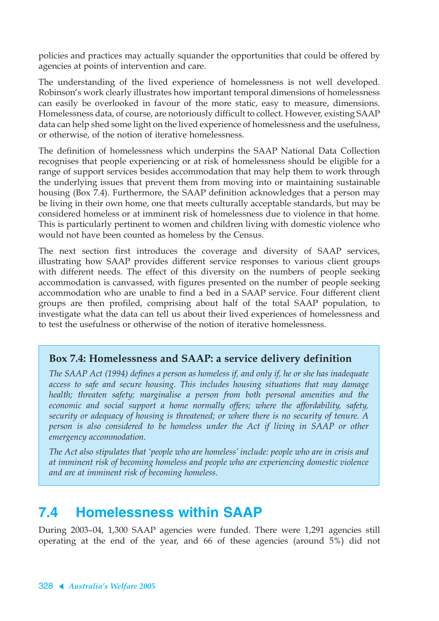policies and practices may actually squander the opportunities that could be offered by agencies at points of intervention and care.

The understanding of the lived experience of homelessness is not well developed. Robinson's work clearly illustrates how important temporal dimensions of homelessness can easily be overlooked in favour of the more static, easy to measure, dimensions. Homelessness data, of course, are notoriously difficult to collect. However, existing SAAP data can help shed some light on the lived experience of homelessness and the usefulness, or otherwise, of the notion of iterative homelessness.

The definition of homelessness which underpins the SAAP National Data Collection recognises that people experiencing or at risk of homelessness should be eligible for a range of support services besides accommodation that may help them to work through the underlying issues that prevent them from moving into or maintaining sustainable housing (Box 7.4). Furthermore, the SAAP definition acknowledges that a person may be living in their own home, one that meets culturally acceptable standards, but may be considered homeless or at imminent risk of homelessness due to violence in that home. This is particularly pertinent to women and children living with domestic violence who would not have been counted as homeless by the Census.

The next section first introduces the coverage and diversity of SAAP services, illustrating how SAAP provides different service responses to various client groups with different needs. The effect of this diversity on the numbers of people seeking accommodation is canvassed, with figures presented on the number of people seeking accommodation who are unable to find a bed in a SAAP service. Four different client groups are then profiled, comprising about half of the total SAAP population, to investigate what the data can tell us about their lived experiences of homelessness and to test the usefulness or otherwise of the notion of iterative homelessness.

### **Box 7.4: Homelessness and SAAP: a service delivery definition**

*The SAAP Act (1994) defines a person as homeless if, and only if, he or she has inadequate access to safe and secure housing. This includes housing situations that may damage health; threaten safety; marginalise a person from both personal amenities and the economic and social support a home normally offers; where the affordability, safety, security or adequacy of housing is threatened; or where there is no security of tenure. A person is also considered to be homeless under the Act if living in SAAP or other emergency accommodation.*

*The Act also stipulates that 'people who are homeless' include: people who are in crisis and at imminent risk of becoming homeless and people who are experiencing domestic violence and are at imminent risk of becoming homeless.*

# **7.4 Homelessness within SAAP**

During 2003–04, 1,300 SAAP agencies were funded. There were 1,291 agencies still operating at the end of the year, and 66 of these agencies (around 5%) did not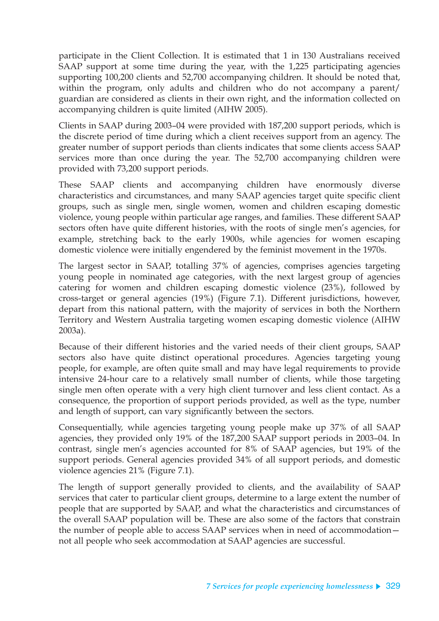participate in the Client Collection. It is estimated that 1 in 130 Australians received SAAP support at some time during the year, with the 1,225 participating agencies supporting 100,200 clients and 52,700 accompanying children. It should be noted that, within the program, only adults and children who do not accompany a parent/ guardian are considered as clients in their own right, and the information collected on accompanying children is quite limited (AIHW 2005).

Clients in SAAP during 2003–04 were provided with 187,200 support periods, which is the discrete period of time during which a client receives support from an agency. The greater number of support periods than clients indicates that some clients access SAAP services more than once during the year. The 52,700 accompanying children were provided with 73,200 support periods.

These SAAP clients and accompanying children have enormously diverse characteristics and circumstances, and many SAAP agencies target quite specific client groups, such as single men, single women, women and children escaping domestic violence, young people within particular age ranges, and families. These different SAAP sectors often have quite different histories, with the roots of single men's agencies, for example, stretching back to the early 1900s, while agencies for women escaping domestic violence were initially engendered by the feminist movement in the 1970s.

The largest sector in SAAP, totalling 37% of agencies, comprises agencies targeting young people in nominated age categories, with the next largest group of agencies catering for women and children escaping domestic violence (23%), followed by cross-target or general agencies (19%) (Figure 7.1). Different jurisdictions, however, depart from this national pattern, with the majority of services in both the Northern Territory and Western Australia targeting women escaping domestic violence (AIHW 2003a).

Because of their different histories and the varied needs of their client groups, SAAP sectors also have quite distinct operational procedures. Agencies targeting young people, for example, are often quite small and may have legal requirements to provide intensive 24-hour care to a relatively small number of clients, while those targeting single men often operate with a very high client turnover and less client contact. As a consequence, the proportion of support periods provided, as well as the type, number and length of support, can vary significantly between the sectors.

Consequentially, while agencies targeting young people make up 37% of all SAAP agencies, they provided only 19% of the 187,200 SAAP support periods in 2003–04. In contrast, single men's agencies accounted for 8% of SAAP agencies, but 19% of the support periods. General agencies provided 34% of all support periods, and domestic violence agencies 21% (Figure 7.1).

The length of support generally provided to clients, and the availability of SAAP services that cater to particular client groups, determine to a large extent the number of people that are supported by SAAP, and what the characteristics and circumstances of the overall SAAP population will be. These are also some of the factors that constrain the number of people able to access SAAP services when in need of accommodation not all people who seek accommodation at SAAP agencies are successful.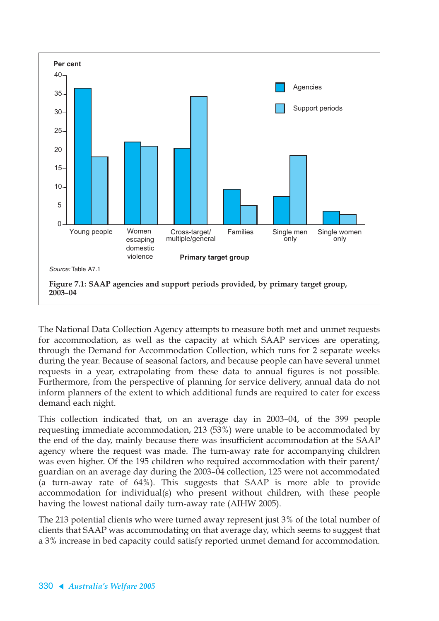

The National Data Collection Agency attempts to measure both met and unmet requests for accommodation, as well as the capacity at which SAAP services are operating, through the Demand for Accommodation Collection, which runs for 2 separate weeks during the year. Because of seasonal factors, and because people can have several unmet requests in a year, extrapolating from these data to annual figures is not possible. Furthermore, from the perspective of planning for service delivery, annual data do not inform planners of the extent to which additional funds are required to cater for excess demand each night.

This collection indicated that, on an average day in 2003–04, of the 399 people requesting immediate accommodation, 213 (53%) were unable to be accommodated by the end of the day, mainly because there was insufficient accommodation at the SAAP agency where the request was made. The turn-away rate for accompanying children was even higher. Of the 195 children who required accommodation with their parent/ guardian on an average day during the 2003–04 collection, 125 were not accommodated (a turn-away rate of 64%). This suggests that SAAP is more able to provide accommodation for individual(s) who present without children, with these people having the lowest national daily turn-away rate (AIHW 2005).

The 213 potential clients who were turned away represent just 3% of the total number of clients that SAAP was accommodating on that average day, which seems to suggest that a 3% increase in bed capacity could satisfy reported unmet demand for accommodation.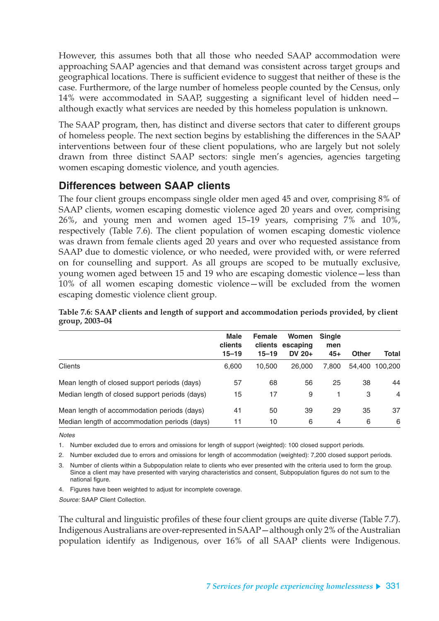However, this assumes both that all those who needed SAAP accommodation were approaching SAAP agencies and that demand was consistent across target groups and geographical locations. There is sufficient evidence to suggest that neither of these is the case. Furthermore, of the large number of homeless people counted by the Census, only 14% were accommodated in SAAP, suggesting a significant level of hidden need although exactly what services are needed by this homeless population is unknown.

The SAAP program, then, has distinct and diverse sectors that cater to different groups of homeless people. The next section begins by establishing the differences in the SAAP interventions between four of these client populations, who are largely but not solely drawn from three distinct SAAP sectors: single men's agencies, agencies targeting women escaping domestic violence, and youth agencies.

### **Differences between SAAP clients**

The four client groups encompass single older men aged 45 and over, comprising 8% of SAAP clients, women escaping domestic violence aged 20 years and over, comprising 26%, and young men and women aged 15–19 years, comprising 7% and 10%, respectively (Table 7.6). The client population of women escaping domestic violence was drawn from female clients aged 20 years and over who requested assistance from SAAP due to domestic violence, or who needed, were provided with, or were referred on for counselling and support. As all groups are scoped to be mutually exclusive, young women aged between 15 and 19 who are escaping domestic violence—less than 10% of all women escaping domestic violence—will be excluded from the women escaping domestic violence client group.

|                                                | <b>Male</b><br>clients<br>$15 - 19$ | <b>Female</b><br>clients<br>$15 - 19$ | Women<br>escaping<br>DV $20+$ | <b>Single</b><br>men<br>$45+$ | <b>Other</b> | <b>Total</b> |
|------------------------------------------------|-------------------------------------|---------------------------------------|-------------------------------|-------------------------------|--------------|--------------|
| <b>Clients</b>                                 | 6,600                               | 10.500                                | 26,000                        | 7.800                         | 54.400       | 100,200      |
| Mean length of closed support periods (days)   | 57                                  | 68                                    | 56                            | 25                            | 38           | 44           |
| Median length of closed support periods (days) | 15                                  | 17                                    | 9                             |                               | 3            | 4            |
| Mean length of accommodation periods (days)    | 41                                  | 50                                    | 39                            | 29                            | 35           | 37           |
| Median length of accommodation periods (days)  | 11                                  | 10                                    | 6                             | $\overline{4}$                | 6            | 6            |

**Table 7.6: SAAP clients and length of support and accommodation periods provided, by client group, 2003–04**

**Notes** 

1. Number excluded due to errors and omissions for length of support (weighted): 100 closed support periods.

2. Number excluded due to errors and omissions for length of accommodation (weighted): 7,200 closed support periods.

3. Number of clients within a Subpopulation relate to clients who ever presented with the criteria used to form the group. Since a client may have presented with varying characteristics and consent, Subpopulation figures do not sum to the national figure.

4. Figures have been weighted to adjust for incomplete coverage.

Source: SAAP Client Collection.

The cultural and linguistic profiles of these four client groups are quite diverse (Table 7.7). Indigenous Australians are over-represented in SAAP—although only 2% of the Australian population identify as Indigenous, over 16% of all SAAP clients were Indigenous.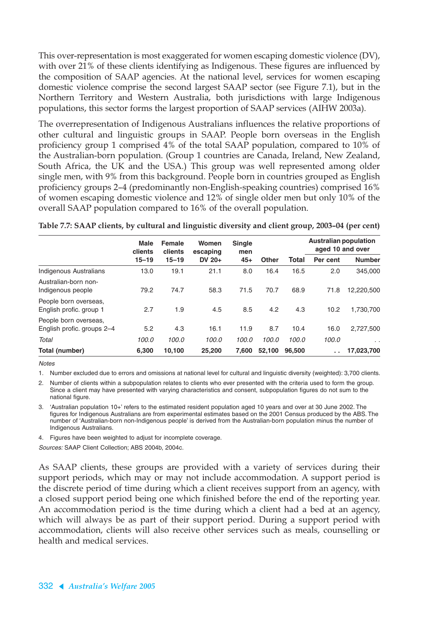This over-representation is most exaggerated for women escaping domestic violence (DV), with over 21% of these clients identifying as Indigenous. These figures are influenced by the composition of SAAP agencies. At the national level, services for women escaping domestic violence comprise the second largest SAAP sector (see Figure 7.1), but in the Northern Territory and Western Australia, both jurisdictions with large Indigenous populations, this sector forms the largest proportion of SAAP services (AIHW 2003a).

The overrepresentation of Indigenous Australians influences the relative proportions of other cultural and linguistic groups in SAAP. People born overseas in the English proficiency group 1 comprised 4% of the total SAAP population, compared to 10% of the Australian-born population. (Group 1 countries are Canada, Ireland, New Zealand, South Africa, the UK and the USA.) This group was well represented among older single men, with 9% from this background. People born in countries grouped as English proficiency groups 2–4 (predominantly non-English-speaking countries) comprised 16% of women escaping domestic violence and 12% of single older men but only 10% of the overall SAAP population compared to 16% of the overall population.

|                                                     | <b>Male</b><br>clients | <b>Female</b><br>clients | Women                | <b>Single</b> |              |        | <b>Australian population</b><br>aged 10 and over |               |
|-----------------------------------------------------|------------------------|--------------------------|----------------------|---------------|--------------|--------|--------------------------------------------------|---------------|
|                                                     | $15 - 19$              | $15 - 19$                | escaping<br>$DV$ 20+ | men<br>$45+$  | <b>Other</b> | Total  | Per cent                                         | <b>Number</b> |
| Indigenous Australians                              | 13.0                   | 19.1                     | 21.1                 | 8.0           | 16.4         | 16.5   | 2.0                                              | 345,000       |
| Australian-born non-<br>Indigenous people           | 79.2                   | 74.7                     | 58.3                 | 71.5          | 70.7         | 68.9   | 71.8                                             | 12,220,500    |
| People born overseas,<br>English profic. group 1    | 2.7                    | 1.9                      | 4.5                  | 8.5           | 4.2          | 4.3    | 10.2                                             | 1,730,700     |
| People born overseas,<br>English profic. groups 2-4 | 5.2                    | 4.3                      | 16.1                 | 11.9          | 8.7          | 10.4   | 16.0                                             | 2,727,500     |
| Total                                               | 100.0                  | 100.0                    | 100.0                | 100.0         | 100.0        | 100.0  | 100.0                                            | $\cdot$ .     |
| Total (number)                                      | 6.300                  | 10.100                   | 25,200               | 7.600         | 52.100       | 96.500 | . .                                              | 17,023,700    |

**Table 7.7: SAAP clients, by cultural and linguistic diversity and client group, 2003–04 (per cent)**

**Notes** 

1. Number excluded due to errors and omissions at national level for cultural and linguistic diversity (weighted): 3,700 clients.

2. Number of clients within a subpopulation relates to clients who ever presented with the criteria used to form the group. Since a client may have presented with varying characteristics and consent, subpopulation figures do not sum to the national figure.

3. 'Australian population 10+' refers to the estimated resident population aged 10 years and over at 30 June 2002. The figures for Indigenous Australians are from experimental estimates based on the 2001 Census produced by the ABS. The number of 'Australian-born non-Indigenous people' is derived from the Australian-born population minus the number of Indigenous Australians.

4. Figures have been weighted to adjust for incomplete coverage.

Sources: SAAP Client Collection; ABS 2004b, 2004c.

As SAAP clients, these groups are provided with a variety of services during their support periods, which may or may not include accommodation. A support period is the discrete period of time during which a client receives support from an agency, with a closed support period being one which finished before the end of the reporting year. An accommodation period is the time during which a client had a bed at an agency, which will always be as part of their support period. During a support period with accommodation, clients will also receive other services such as meals, counselling or health and medical services.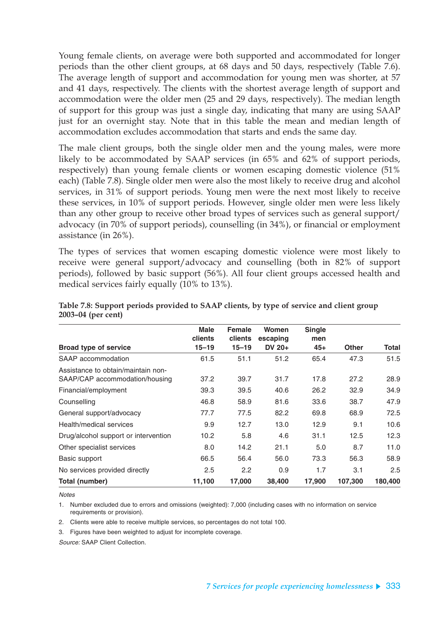Young female clients, on average were both supported and accommodated for longer periods than the other client groups, at 68 days and 50 days, respectively (Table 7.6). The average length of support and accommodation for young men was shorter, at 57 and 41 days, respectively. The clients with the shortest average length of support and accommodation were the older men (25 and 29 days, respectively). The median length of support for this group was just a single day, indicating that many are using SAAP just for an overnight stay. Note that in this table the mean and median length of accommodation excludes accommodation that starts and ends the same day.

The male client groups, both the single older men and the young males, were more likely to be accommodated by SAAP services (in 65% and 62% of support periods, respectively) than young female clients or women escaping domestic violence (51% each) (Table 7.8). Single older men were also the most likely to receive drug and alcohol services, in 31% of support periods. Young men were the next most likely to receive these services, in 10% of support periods. However, single older men were less likely than any other group to receive other broad types of services such as general support/ advocacy (in 70% of support periods), counselling (in 34%), or financial or employment assistance (in 26%).

The types of services that women escaping domestic violence were most likely to receive were general support/advocacy and counselling (both in 82% of support periods), followed by basic support (56%). All four client groups accessed health and medical services fairly equally (10% to 13%).

|                                                                      | <b>Male</b>          | <b>Female</b>        | Women                | <b>Single</b> |              |         |
|----------------------------------------------------------------------|----------------------|----------------------|----------------------|---------------|--------------|---------|
| <b>Broad type of service</b>                                         | clients<br>$15 - 19$ | clients<br>$15 - 19$ | escaping<br>DV $20+$ | men<br>$45+$  | <b>Other</b> | Total   |
| SAAP accommodation                                                   | 61.5                 | 51.1                 | 51.2                 | 65.4          | 47.3         | 51.5    |
| Assistance to obtain/maintain non-<br>SAAP/CAP accommodation/housing | 37.2                 | 39.7                 | 31.7                 | 17.8          | 27.2         | 28.9    |
| Financial/employment                                                 | 39.3                 | 39.5                 | 40.6                 | 26.2          | 32.9         | 34.9    |
| Counselling                                                          | 46.8                 | 58.9                 | 81.6                 | 33.6          | 38.7         | 47.9    |
| General support/advocacy                                             | 77.7                 | 77.5                 | 82.2                 | 69.8          | 68.9         | 72.5    |
| Health/medical services                                              | 9.9                  | 12.7                 | 13.0                 | 12.9          | 9.1          | 10.6    |
| Drug/alcohol support or intervention                                 | 10.2                 | 5.8                  | 4.6                  | 31.1          | 12.5         | 12.3    |
| Other specialist services                                            | 8.0                  | 14.2                 | 21.1                 | 5.0           | 8.7          | 11.0    |
| Basic support                                                        | 66.5                 | 56.4                 | 56.0                 | 73.3          | 56.3         | 58.9    |
| No services provided directly                                        | 2.5                  | 2.2                  | 0.9                  | 1.7           | 3.1          | 2.5     |
| Total (number)                                                       | 11,100               | 17,000               | 38,400               | 17,900        | 107,300      | 180,400 |

**Table 7.8: Support periods provided to SAAP clients, by type of service and client group 2003–04 (per cent)**

**Notes** 

1. Number excluded due to errors and omissions (weighted): 7,000 (including cases with no information on service requirements or provision).

2. Clients were able to receive multiple services, so percentages do not total 100.

3. Figures have been weighted to adjust for incomplete coverage.

Source: SAAP Client Collection.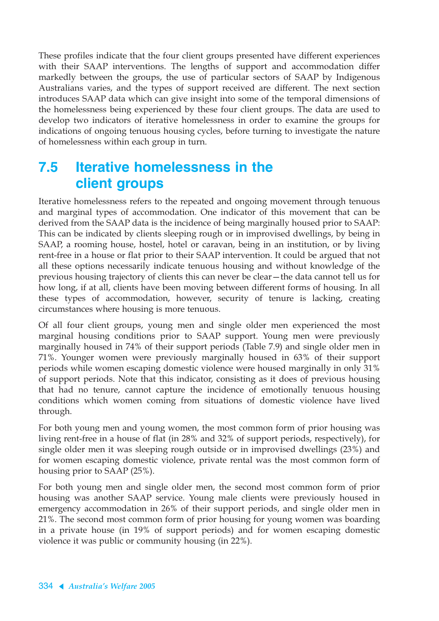These profiles indicate that the four client groups presented have different experiences with their SAAP interventions. The lengths of support and accommodation differ markedly between the groups, the use of particular sectors of SAAP by Indigenous Australians varies, and the types of support received are different. The next section introduces SAAP data which can give insight into some of the temporal dimensions of the homelessness being experienced by these four client groups. The data are used to develop two indicators of iterative homelessness in order to examine the groups for indications of ongoing tenuous housing cycles, before turning to investigate the nature of homelessness within each group in turn.

# **7.5 Iterative homelessness in the client groups**

Iterative homelessness refers to the repeated and ongoing movement through tenuous and marginal types of accommodation. One indicator of this movement that can be derived from the SAAP data is the incidence of being marginally housed prior to SAAP: This can be indicated by clients sleeping rough or in improvised dwellings, by being in SAAP, a rooming house, hostel, hotel or caravan, being in an institution, or by living rent-free in a house or flat prior to their SAAP intervention. It could be argued that not all these options necessarily indicate tenuous housing and without knowledge of the previous housing trajectory of clients this can never be clear—the data cannot tell us for how long, if at all, clients have been moving between different forms of housing. In all these types of accommodation, however, security of tenure is lacking, creating circumstances where housing is more tenuous.

Of all four client groups, young men and single older men experienced the most marginal housing conditions prior to SAAP support. Young men were previously marginally housed in 74% of their support periods (Table 7.9) and single older men in 71%. Younger women were previously marginally housed in 63% of their support periods while women escaping domestic violence were housed marginally in only 31% of support periods. Note that this indicator, consisting as it does of previous housing that had no tenure, cannot capture the incidence of emotionally tenuous housing conditions which women coming from situations of domestic violence have lived through.

For both young men and young women, the most common form of prior housing was living rent-free in a house of flat (in 28% and 32% of support periods, respectively), for single older men it was sleeping rough outside or in improvised dwellings (23%) and for women escaping domestic violence, private rental was the most common form of housing prior to SAAP (25%).

For both young men and single older men, the second most common form of prior housing was another SAAP service. Young male clients were previously housed in emergency accommodation in 26% of their support periods, and single older men in 21%. The second most common form of prior housing for young women was boarding in a private house (in 19% of support periods) and for women escaping domestic violence it was public or community housing (in 22%).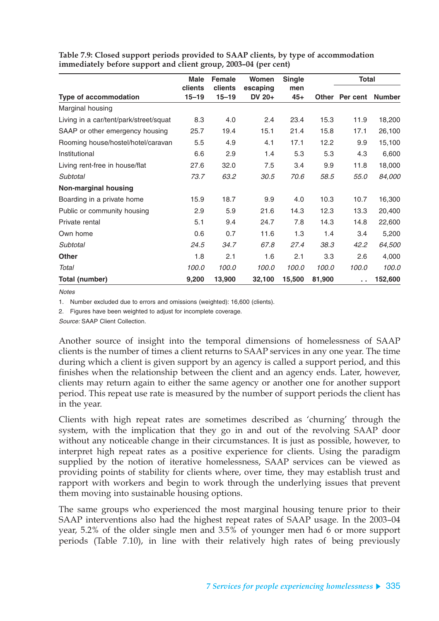|                                        | <b>Male</b>          | <b>Female</b>        | Women              | <b>Single</b> |              | <b>Total</b> |               |
|----------------------------------------|----------------------|----------------------|--------------------|---------------|--------------|--------------|---------------|
| <b>Type of accommodation</b>           | clients<br>$15 - 19$ | clients<br>$15 - 19$ | escaping<br>DV 20+ | men<br>$45+$  | <b>Other</b> | Per cent     | <b>Number</b> |
| Marginal housing                       |                      |                      |                    |               |              |              |               |
| Living in a car/tent/park/street/squat | 8.3                  | 4.0                  | 2.4                | 23.4          | 15.3         | 11.9         | 18,200        |
| SAAP or other emergency housing        | 25.7                 | 19.4                 | 15.1               | 21.4          | 15.8         | 17.1         | 26,100        |
| Rooming house/hostel/hotel/caravan     | 5.5                  | 4.9                  | 4.1                | 17.1          | 12.2         | 9.9          | 15,100        |
| Institutional                          | 6.6                  | 2.9                  | 1.4                | 5.3           | 5.3          | 4.3          | 6,600         |
| Living rent-free in house/flat         | 27.6                 | 32.0                 | 7.5                | 3.4           | 9.9          | 11.8         | 18,000        |
| Subtotal                               | 73.7                 | 63.2                 | 30.5               | 70.6          | 58.5         | 55.0         | 84,000        |
| <b>Non-marginal housing</b>            |                      |                      |                    |               |              |              |               |
| Boarding in a private home             | 15.9                 | 18.7                 | 9.9                | 4.0           | 10.3         | 10.7         | 16,300        |
| Public or community housing            | 2.9                  | 5.9                  | 21.6               | 14.3          | 12.3         | 13.3         | 20,400        |
| Private rental                         | 5.1                  | 9.4                  | 24.7               | 7.8           | 14.3         | 14.8         | 22,600        |
| Own home                               | 0.6                  | 0.7                  | 11.6               | 1.3           | 1.4          | 3.4          | 5,200         |
| Subtotal                               | 24.5                 | 34.7                 | 67.8               | 27.4          | 38.3         | 42.2         | 64,500        |
| <b>Other</b>                           | 1.8                  | 2.1                  | 1.6                | 2.1           | 3.3          | 2.6          | 4,000         |
| Total                                  | 100.0                | 100.0                | 100.0              | 100.0         | 100.0        | 100.0        | 100.0         |
| Total (number)                         | 9,200                | 13,900               | 32,100             | 15,500        | 81,900       | a la         | 152,600       |

**Table 7.9: Closed support periods provided to SAAP clients, by type of accommodation immediately before support and client group, 2003–04 (per cent)**

**Notes** 

1. Number excluded due to errors and omissions (weighted): 16,600 (clients).

2. Figures have been weighted to adjust for incomplete coverage.

Source: SAAP Client Collection.

Another source of insight into the temporal dimensions of homelessness of SAAP clients is the number of times a client returns to SAAP services in any one year. The time during which a client is given support by an agency is called a support period, and this finishes when the relationship between the client and an agency ends. Later, however, clients may return again to either the same agency or another one for another support period. This repeat use rate is measured by the number of support periods the client has in the year.

Clients with high repeat rates are sometimes described as 'churning' through the system, with the implication that they go in and out of the revolving SAAP door without any noticeable change in their circumstances. It is just as possible, however, to interpret high repeat rates as a positive experience for clients. Using the paradigm supplied by the notion of iterative homelessness, SAAP services can be viewed as providing points of stability for clients where, over time, they may establish trust and rapport with workers and begin to work through the underlying issues that prevent them moving into sustainable housing options.

The same groups who experienced the most marginal housing tenure prior to their SAAP interventions also had the highest repeat rates of SAAP usage. In the 2003–04 year, 5.2% of the older single men and 3.5% of younger men had 6 or more support periods (Table 7.10), in line with their relatively high rates of being previously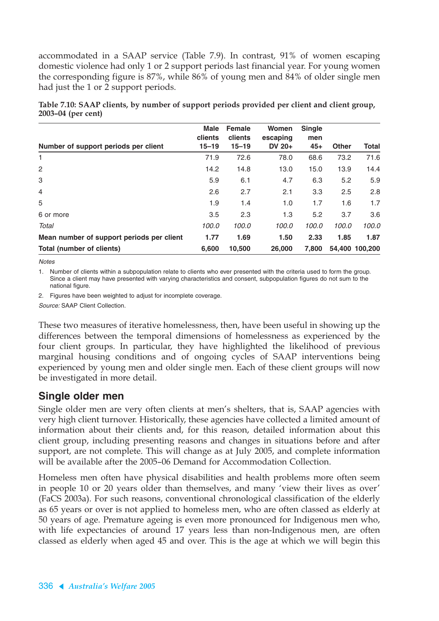accommodated in a SAAP service (Table 7.9). In contrast, 91% of women escaping domestic violence had only 1 or 2 support periods last financial year. For young women the corresponding figure is 87%, while 86% of young men and 84% of older single men had just the 1 or 2 support periods.

| Number of support periods per client      | <b>Male</b><br>clients<br>$15 - 19$ | <b>Female</b><br>clients<br>$15 - 19$ | Women<br>escaping<br>DV $20+$ | <b>Single</b><br>men<br>$45+$ | <b>Other</b> | <b>Total</b>   |
|-------------------------------------------|-------------------------------------|---------------------------------------|-------------------------------|-------------------------------|--------------|----------------|
| 1                                         | 71.9                                | 72.6                                  | 78.0                          | 68.6                          | 73.2         | 71.6           |
| 2                                         | 14.2                                | 14.8                                  | 13.0                          | 15.0                          | 13.9         | 14.4           |
| 3                                         | 5.9                                 | 6.1                                   | 4.7                           | 6.3                           | 5.2          | 5.9            |
| 4                                         | 2.6                                 | 2.7                                   | 2.1                           | 3.3                           | 2.5          | 2.8            |
| 5                                         | 1.9                                 | 1.4                                   | 1.0                           | 1.7                           | 1.6          | 1.7            |
| 6 or more                                 | 3.5                                 | 2.3                                   | 1.3                           | 5.2                           | 3.7          | 3.6            |
| Total                                     | 100.0                               | 100.0                                 | 100.0                         | 100.0                         | 100.0        | 100.0          |
| Mean number of support periods per client | 1.77                                | 1.69                                  | 1.50                          | 2.33                          | 1.85         | 1.87           |
| Total (number of clients)                 | 6.600                               | 10,500                                | 26,000                        | 7.800                         |              | 54.400 100.200 |

**Table 7.10: SAAP clients, by number of support periods provided per client and client group, 2003–04 (per cent)**

**Notes** 

1. Number of clients within a subpopulation relate to clients who ever presented with the criteria used to form the group. Since a client may have presented with varying characteristics and consent, subpopulation figures do not sum to the national figure.

2. Figures have been weighted to adjust for incomplete coverage.

Source: SAAP Client Collection.

These two measures of iterative homelessness, then, have been useful in showing up the differences between the temporal dimensions of homelessness as experienced by the four client groups. In particular, they have highlighted the likelihood of previous marginal housing conditions and of ongoing cycles of SAAP interventions being experienced by young men and older single men. Each of these client groups will now be investigated in more detail.

### **Single older men**

Single older men are very often clients at men's shelters, that is, SAAP agencies with very high client turnover. Historically, these agencies have collected a limited amount of information about their clients and, for this reason, detailed information about this client group, including presenting reasons and changes in situations before and after support, are not complete. This will change as at July 2005, and complete information will be available after the 2005–06 Demand for Accommodation Collection.

Homeless men often have physical disabilities and health problems more often seem in people 10 or 20 years older than themselves, and many 'view their lives as over' (FaCS 2003a). For such reasons, conventional chronological classification of the elderly as 65 years or over is not applied to homeless men, who are often classed as elderly at 50 years of age. Premature ageing is even more pronounced for Indigenous men who, with life expectancies of around 17 years less than non-Indigenous men, are often classed as elderly when aged 45 and over. This is the age at which we will begin this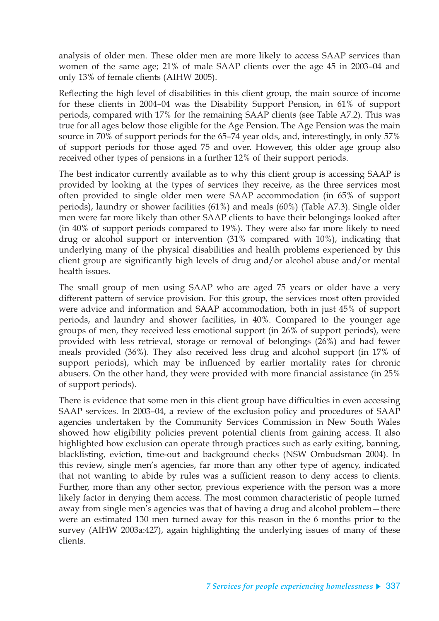analysis of older men. These older men are more likely to access SAAP services than women of the same age; 21% of male SAAP clients over the age 45 in 2003–04 and only 13% of female clients (AIHW 2005).

Reflecting the high level of disabilities in this client group, the main source of income for these clients in 2004–04 was the Disability Support Pension, in 61% of support periods, compared with 17% for the remaining SAAP clients (see Table A7.2). This was true for all ages below those eligible for the Age Pension. The Age Pension was the main source in 70% of support periods for the 65–74 year olds, and, interestingly, in only 57% of support periods for those aged 75 and over. However, this older age group also received other types of pensions in a further 12% of their support periods.

The best indicator currently available as to why this client group is accessing SAAP is provided by looking at the types of services they receive, as the three services most often provided to single older men were SAAP accommodation (in 65% of support periods), laundry or shower facilities (61%) and meals (60%) (Table A7.3). Single older men were far more likely than other SAAP clients to have their belongings looked after (in 40% of support periods compared to 19%). They were also far more likely to need drug or alcohol support or intervention (31% compared with 10%), indicating that underlying many of the physical disabilities and health problems experienced by this client group are significantly high levels of drug and/or alcohol abuse and/or mental health issues.

The small group of men using SAAP who are aged 75 years or older have a very different pattern of service provision. For this group, the services most often provided were advice and information and SAAP accommodation, both in just 45% of support periods, and laundry and shower facilities, in 40%. Compared to the younger age groups of men, they received less emotional support (in 26% of support periods), were provided with less retrieval, storage or removal of belongings (26%) and had fewer meals provided (36%). They also received less drug and alcohol support (in 17% of support periods), which may be influenced by earlier mortality rates for chronic abusers. On the other hand, they were provided with more financial assistance (in 25% of support periods).

There is evidence that some men in this client group have difficulties in even accessing SAAP services. In 2003–04, a review of the exclusion policy and procedures of SAAP agencies undertaken by the Community Services Commission in New South Wales showed how eligibility policies prevent potential clients from gaining access. It also highlighted how exclusion can operate through practices such as early exiting, banning, blacklisting, eviction, time-out and background checks (NSW Ombudsman 2004). In this review, single men's agencies, far more than any other type of agency, indicated that not wanting to abide by rules was a sufficient reason to deny access to clients. Further, more than any other sector, previous experience with the person was a more likely factor in denying them access. The most common characteristic of people turned away from single men's agencies was that of having a drug and alcohol problem—there were an estimated 130 men turned away for this reason in the 6 months prior to the survey (AIHW 2003a:427), again highlighting the underlying issues of many of these clients.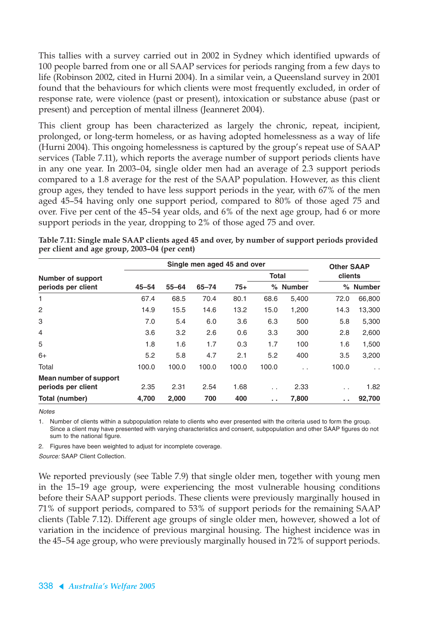This tallies with a survey carried out in 2002 in Sydney which identified upwards of 100 people barred from one or all SAAP services for periods ranging from a few days to life (Robinson 2002, cited in Hurni 2004). In a similar vein, a Queensland survey in 2001 found that the behaviours for which clients were most frequently excluded, in order of response rate, were violence (past or present), intoxication or substance abuse (past or present) and perception of mental illness (Jeanneret 2004).

This client group has been characterized as largely the chronic, repeat, incipient, prolonged, or long-term homeless, or as having adopted homelessness as a way of life (Hurni 2004). This ongoing homelessness is captured by the group's repeat use of SAAP services (Table 7.11), which reports the average number of support periods clients have in any one year. In 2003–04, single older men had an average of 2.3 support periods compared to a 1.8 average for the rest of the SAAP population. However, as this client group ages, they tended to have less support periods in the year, with 67% of the men aged 45–54 having only one support period, compared to 80% of those aged 75 and over. Five per cent of the 45–54 year olds, and 6% of the next age group, had 6 or more support periods in the year, dropping to 2% of those aged 75 and over.

|                          |           | Single men aged 45 and over |           |       |                 |          |                              |               |  |
|--------------------------|-----------|-----------------------------|-----------|-------|-----------------|----------|------------------------------|---------------|--|
| <b>Number of support</b> |           |                             |           |       | <b>Total</b>    |          | <b>Other SAAP</b><br>clients |               |  |
| periods per client       | $45 - 54$ | $55 - 64$                   | $65 - 74$ | $75+$ |                 | % Number | ℅                            | <b>Number</b> |  |
| 1                        | 67.4      | 68.5                        | 70.4      | 80.1  | 68.6            | 5,400    | 72.0                         | 66,800        |  |
| $\overline{c}$           | 14.9      | 15.5                        | 14.6      | 13.2  | 15.0            | 1,200    | 14.3                         | 13,300        |  |
| 3                        | 7.0       | 5.4                         | 6.0       | 3.6   | 6.3             | 500      | 5.8                          | 5,300         |  |
| $\overline{4}$           | 3.6       | 3.2                         | 2.6       | 0.6   | 3.3             | 300      | 2.8                          | 2,600         |  |
| 5                        | 1.8       | 1.6                         | 1.7       | 0.3   | 1.7             | 100      | 1.6                          | 1,500         |  |
| $6+$                     | 5.2       | 5.8                         | 4.7       | 2.1   | 5.2             | 400      | 3.5                          | 3,200         |  |
| Total                    | 100.0     | 100.0                       | 100.0     | 100.0 | 100.0           | τ.       | 100.0                        | $\sim$        |  |
| Mean number of support   |           |                             |           |       |                 |          |                              |               |  |
| periods per client       | 2.35      | 2.31                        | 2.54      | 1.68  | $\cdot$ .       | 2.33     | $\sim$                       | 1.82          |  |
| Total (number)           | 4,700     | 2,000                       | 700       | 400   | $\sim$ 10 $\pm$ | 7,800    | . .                          | 92,700        |  |

**Table 7.11: Single male SAAP clients aged 45 and over, by number of support periods provided per client and age group, 2003–04 (per cent)**

**Notes** 

1. Number of clients within a subpopulation relate to clients who ever presented with the criteria used to form the group. Since a client may have presented with varying characteristics and consent, subpopulation and other SAAP figures do not sum to the national figure.

2. Figures have been weighted to adjust for incomplete coverage.

Source: SAAP Client Collection.

We reported previously (see Table 7.9) that single older men, together with young men in the 15–19 age group, were experiencing the most vulnerable housing conditions before their SAAP support periods. These clients were previously marginally housed in 71% of support periods, compared to 53% of support periods for the remaining SAAP clients (Table 7.12). Different age groups of single older men, however, showed a lot of variation in the incidence of previous marginal housing. The highest incidence was in the 45–54 age group, who were previously marginally housed in 72% of support periods.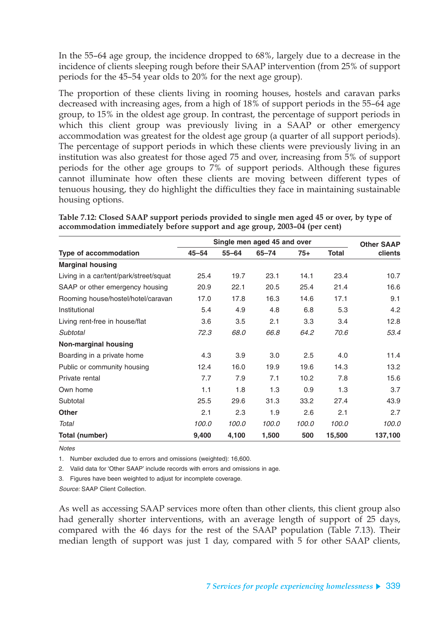In the 55–64 age group, the incidence dropped to 68%, largely due to a decrease in the incidence of clients sleeping rough before their SAAP intervention (from 25% of support periods for the 45–54 year olds to 20% for the next age group).

The proportion of these clients living in rooming houses, hostels and caravan parks decreased with increasing ages, from a high of 18% of support periods in the 55–64 age group, to 15% in the oldest age group. In contrast, the percentage of support periods in which this client group was previously living in a SAAP or other emergency accommodation was greatest for the oldest age group (a quarter of all support periods). The percentage of support periods in which these clients were previously living in an institution was also greatest for those aged 75 and over, increasing from 5% of support periods for the other age groups to 7% of support periods. Although these figures cannot illuminate how often these clients are moving between different types of tenuous housing, they do highlight the difficulties they face in maintaining sustainable housing options.

|                                        |           |           | Single men aged 45 and over |       |              | <b>Other SAAP</b> |
|----------------------------------------|-----------|-----------|-----------------------------|-------|--------------|-------------------|
| Type of accommodation                  | $45 - 54$ | $55 - 64$ | $65 - 74$                   | $75+$ | <b>Total</b> | clients           |
| <b>Marginal housing</b>                |           |           |                             |       |              |                   |
| Living in a car/tent/park/street/squat | 25.4      | 19.7      | 23.1                        | 14.1  | 23.4         | 10.7              |
| SAAP or other emergency housing        | 20.9      | 22.1      | 20.5                        | 25.4  | 21.4         | 16.6              |
| Rooming house/hostel/hotel/caravan     | 17.0      | 17.8      | 16.3                        | 14.6  | 17.1         | 9.1               |
| Institutional                          | 5.4       | 4.9       | 4.8                         | 6.8   | 5.3          | 4.2               |
| Living rent-free in house/flat         | 3.6       | 3.5       | 2.1                         | 3.3   | 3.4          | 12.8              |
| Subtotal                               | 72.3      | 68.0      | 66.8                        | 64.2  | 70.6         | 53.4              |
| <b>Non-marginal housing</b>            |           |           |                             |       |              |                   |
| Boarding in a private home             | 4.3       | 3.9       | 3.0                         | 2.5   | 4.0          | 11.4              |
| Public or community housing            | 12.4      | 16.0      | 19.9                        | 19.6  | 14.3         | 13.2              |
| Private rental                         | 7.7       | 7.9       | 7.1                         | 10.2  | 7.8          | 15.6              |
| Own home                               | 1.1       | 1.8       | 1.3                         | 0.9   | 1.3          | 3.7               |
| Subtotal                               | 25.5      | 29.6      | 31.3                        | 33.2  | 27.4         | 43.9              |
| <b>Other</b>                           | 2.1       | 2.3       | 1.9                         | 2.6   | 2.1          | 2.7               |
| Total                                  | 100.0     | 100.0     | 100.0                       | 100.0 | 100.0        | 100.0             |
| Total (number)                         | 9,400     | 4,100     | 1,500                       | 500   | 15,500       | 137,100           |

**Table 7.12: Closed SAAP support periods provided to single men aged 45 or over, by type of accommodation immediately before support and age group, 2003–04 (per cent)**

**Notes** 

1. Number excluded due to errors and omissions (weighted): 16,600.

2. Valid data for 'Other SAAP' include records with errors and omissions in age.

3. Figures have been weighted to adjust for incomplete coverage.

Source: SAAP Client Collection.

As well as accessing SAAP services more often than other clients, this client group also had generally shorter interventions, with an average length of support of 25 days, compared with the 46 days for the rest of the SAAP population (Table 7.13). Their median length of support was just 1 day, compared with 5 for other SAAP clients,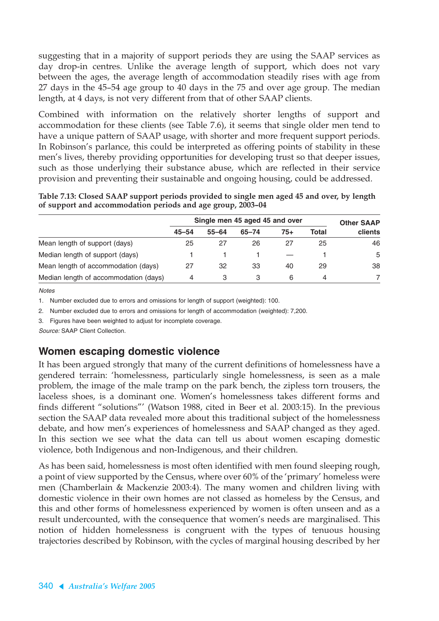suggesting that in a majority of support periods they are using the SAAP services as day drop-in centres. Unlike the average length of support, which does not vary between the ages, the average length of accommodation steadily rises with age from 27 days in the 45–54 age group to 40 days in the 75 and over age group. The median length, at 4 days, is not very different from that of other SAAP clients.

Combined with information on the relatively shorter lengths of support and accommodation for these clients (see Table 7.6), it seems that single older men tend to have a unique pattern of SAAP usage, with shorter and more frequent support periods. In Robinson's parlance, this could be interpreted as offering points of stability in these men's lives, thereby providing opportunities for developing trust so that deeper issues, such as those underlying their substance abuse, which are reflected in their service provision and preventing their sustainable and ongoing housing, could be addressed.

**Table 7.13: Closed SAAP support periods provided to single men aged 45 and over, by length of support and accommodation periods and age group, 2003–04**

|                                       | Single men 45 aged 45 and over | <b>Other SAAP</b> |       |       |       |         |
|---------------------------------------|--------------------------------|-------------------|-------|-------|-------|---------|
|                                       | $45 - 54$                      | $55 - 64$         | 65-74 | $75+$ | Total | clients |
| Mean length of support (days)         | 25                             | 27                | 26    | 27    | 25    | 46      |
| Median length of support (days)       |                                |                   |       |       |       | 5       |
| Mean length of accommodation (days)   | 27                             | 32                | 33    | 40    | 29    | 38      |
| Median length of accommodation (days) | 4                              | 3                 |       | 6     | 4     |         |

**Notes** 

1. Number excluded due to errors and omissions for length of support (weighted): 100.

2. Number excluded due to errors and omissions for length of accommodation (weighted): 7,200.

3. Figures have been weighted to adjust for incomplete coverage.

Source: SAAP Client Collection.

### **Women escaping domestic violence**

It has been argued strongly that many of the current definitions of homelessness have a gendered terrain: 'homelessness, particularly single homelessness, is seen as a male problem, the image of the male tramp on the park bench, the zipless torn trousers, the laceless shoes, is a dominant one. Women's homelessness takes different forms and finds different "solutions"' (Watson 1988, cited in Beer et al. 2003:15). In the previous section the SAAP data revealed more about this traditional subject of the homelessness debate, and how men's experiences of homelessness and SAAP changed as they aged. In this section we see what the data can tell us about women escaping domestic violence, both Indigenous and non-Indigenous, and their children.

As has been said, homelessness is most often identified with men found sleeping rough, a point of view supported by the Census, where over 60% of the 'primary' homeless were men (Chamberlain & Mackenzie 2003:4). The many women and children living with domestic violence in their own homes are not classed as homeless by the Census, and this and other forms of homelessness experienced by women is often unseen and as a result undercounted, with the consequence that women's needs are marginalised. This notion of hidden homelessness is congruent with the types of tenuous housing trajectories described by Robinson, with the cycles of marginal housing described by her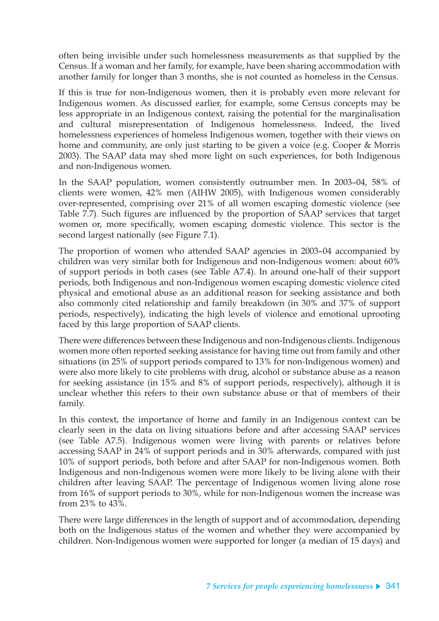often being invisible under such homelessness measurements as that supplied by the Census. If a woman and her family, for example, have been sharing accommodation with another family for longer than 3 months, she is not counted as homeless in the Census.

If this is true for non-Indigenous women, then it is probably even more relevant for Indigenous women. As discussed earlier, for example, some Census concepts may be less appropriate in an Indigenous context, raising the potential for the marginalisation and cultural misrepresentation of Indigenous homelessness. Indeed, the lived homelessness experiences of homeless Indigenous women, together with their views on home and community, are only just starting to be given a voice (e.g. Cooper & Morris 2003). The SAAP data may shed more light on such experiences, for both Indigenous and non-Indigenous women.

In the SAAP population, women consistently outnumber men. In 2003–04, 58% of clients were women, 42% men (AIHW 2005), with Indigenous women considerably over-represented, comprising over 21% of all women escaping domestic violence (see Table 7.7). Such figures are influenced by the proportion of SAAP services that target women or, more specifically, women escaping domestic violence. This sector is the second largest nationally (see Figure 7.1).

The proportion of women who attended SAAP agencies in 2003–04 accompanied by children was very similar both for Indigenous and non-Indigenous women: about 60% of support periods in both cases (see Table A7.4). In around one-half of their support periods, both Indigenous and non-Indigenous women escaping domestic violence cited physical and emotional abuse as an additional reason for seeking assistance and both also commonly cited relationship and family breakdown (in 30% and 37% of support periods, respectively), indicating the high levels of violence and emotional uprooting faced by this large proportion of SAAP clients.

There were differences between these Indigenous and non-Indigenous clients. Indigenous women more often reported seeking assistance for having time out from family and other situations (in 25% of support periods compared to 13% for non-Indigenous women) and were also more likely to cite problems with drug, alcohol or substance abuse as a reason for seeking assistance (in 15% and 8% of support periods, respectively), although it is unclear whether this refers to their own substance abuse or that of members of their family.

In this context, the importance of home and family in an Indigenous context can be clearly seen in the data on living situations before and after accessing SAAP services (see Table A7.5). Indigenous women were living with parents or relatives before accessing SAAP in 24% of support periods and in 30% afterwards, compared with just 10% of support periods, both before and after SAAP for non-Indigenous women. Both Indigenous and non-Indigenous women were more likely to be living alone with their children after leaving SAAP. The percentage of Indigenous women living alone rose from 16% of support periods to 30%, while for non-Indigenous women the increase was from 23% to 43%.

There were large differences in the length of support and of accommodation, depending both on the Indigenous status of the women and whether they were accompanied by children. Non-Indigenous women were supported for longer (a median of 15 days) and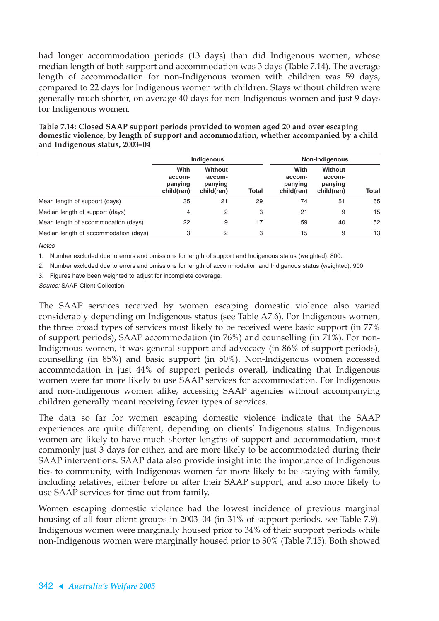had longer accommodation periods (13 days) than did Indigenous women, whose median length of both support and accommodation was 3 days (Table 7.14). The average length of accommodation for non-Indigenous women with children was 59 days, compared to 22 days for Indigenous women with children. Stays without children were generally much shorter, on average 40 days for non-Indigenous women and just 9 days for Indigenous women.

|                                       |                                         | <b>Indigenous</b>                          |              | Non-Indigenous                          |                                            |       |
|---------------------------------------|-----------------------------------------|--------------------------------------------|--------------|-----------------------------------------|--------------------------------------------|-------|
|                                       | With<br>accom-<br>panying<br>child(ren) | Without<br>accom-<br>panying<br>child(ren) | <b>Total</b> | With<br>accom-<br>panying<br>child(ren) | Without<br>accom-<br>panying<br>child(ren) | Total |
| Mean length of support (days)         | 35                                      | 21                                         | 29           | 74                                      | 51                                         | 65    |
| Median length of support (days)       | 4                                       | 2                                          | 3            | 21                                      | 9                                          | 15    |
| Mean length of accommodation (days)   | 22                                      | 9                                          | 17           | 59                                      | 40                                         | 52    |
| Median length of accommodation (days) | 3                                       | 2                                          | 3            | 15                                      | 9                                          | 13    |

| Table 7.14: Closed SAAP support periods provided to women aged 20 and over escaping       |
|-------------------------------------------------------------------------------------------|
| domestic violence, by length of support and accommodation, whether accompanied by a child |
| and Indigenous status, 2003-04                                                            |

**Notes** 

1. Number excluded due to errors and omissions for length of support and Indigenous status (weighted): 800.

2. Number excluded due to errors and omissions for length of accommodation and Indigenous status (weighted): 900.

3. Figures have been weighted to adjust for incomplete coverage.

Source: SAAP Client Collection.

The SAAP services received by women escaping domestic violence also varied considerably depending on Indigenous status (see Table A7.6). For Indigenous women, the three broad types of services most likely to be received were basic support (in 77% of support periods), SAAP accommodation (in 76%) and counselling (in 71%). For non-Indigenous women, it was general support and advocacy (in 86% of support periods), counselling (in 85%) and basic support (in 50%). Non-Indigenous women accessed accommodation in just 44% of support periods overall, indicating that Indigenous women were far more likely to use SAAP services for accommodation. For Indigenous and non-Indigenous women alike, accessing SAAP agencies without accompanying children generally meant receiving fewer types of services.

The data so far for women escaping domestic violence indicate that the SAAP experiences are quite different, depending on clients' Indigenous status. Indigenous women are likely to have much shorter lengths of support and accommodation, most commonly just 3 days for either, and are more likely to be accommodated during their SAAP interventions. SAAP data also provide insight into the importance of Indigenous ties to community, with Indigenous women far more likely to be staying with family, including relatives, either before or after their SAAP support, and also more likely to use SAAP services for time out from family.

Women escaping domestic violence had the lowest incidence of previous marginal housing of all four client groups in 2003–04 (in 31% of support periods, see Table 7.9). Indigenous women were marginally housed prior to 34% of their support periods while non-Indigenous women were marginally housed prior to 30% (Table 7.15). Both showed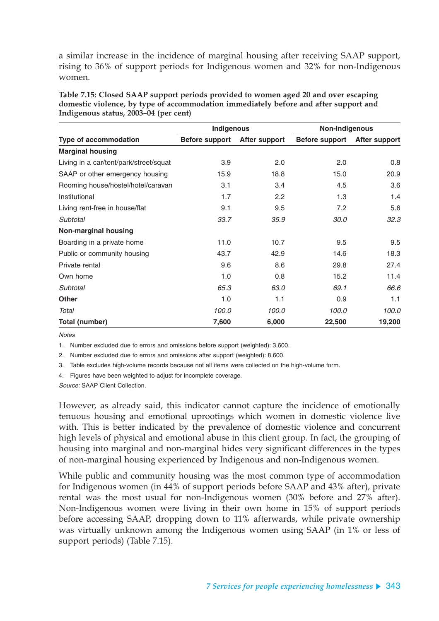a similar increase in the incidence of marginal housing after receiving SAAP support, rising to 36% of support periods for Indigenous women and 32% for non-Indigenous women.

|                                        | Indigenous            |               | Non-Indigenous |               |  |
|----------------------------------------|-----------------------|---------------|----------------|---------------|--|
| <b>Type of accommodation</b>           | <b>Before support</b> | After support | Before support | After support |  |
| <b>Marginal housing</b>                |                       |               |                |               |  |
| Living in a car/tent/park/street/squat | 3.9                   | 2.0           | 2.0            | 0.8           |  |
| SAAP or other emergency housing        | 15.9                  | 18.8          | 15.0           | 20.9          |  |
| Rooming house/hostel/hotel/caravan     | 3.1                   | 3.4           | 4.5            | 3.6           |  |
| Institutional                          | 1.7                   | 2.2           | 1.3            | 1.4           |  |
| Living rent-free in house/flat         | 9.1                   | 9.5           | 7.2            | 5.6           |  |
| Subtotal                               | 33.7                  | 35.9          | 30.0           | 32.3          |  |
| <b>Non-marginal housing</b>            |                       |               |                |               |  |
| Boarding in a private home             | 11.0                  | 10.7          | 9.5            | 9.5           |  |
| Public or community housing            | 43.7                  | 42.9          | 14.6           | 18.3          |  |
| Private rental                         | 9.6                   | 8.6           | 29.8           | 27.4          |  |
| Own home                               | 1.0                   | 0.8           | 15.2           | 11.4          |  |
| Subtotal                               | 65.3                  | 63.0          | 69.1           | 66.6          |  |
| <b>Other</b>                           | 1.0                   | 1.1           | 0.9            | 1.1           |  |
| Total                                  | 100.0                 | 100.0         | 100.0          | 100.0         |  |
| <b>Total (number)</b>                  | 7,600                 | 6,000         | 22,500         | 19,200        |  |

**Table 7.15: Closed SAAP support periods provided to women aged 20 and over escaping domestic violence, by type of accommodation immediately before and after support and Indigenous status, 2003–04 (per cent)**

**Notes** 

1. Number excluded due to errors and omissions before support (weighted): 3,600.

2. Number excluded due to errors and omissions after support (weighted): 8,600.

3. Table excludes high-volume records because not all items were collected on the high-volume form.

4. Figures have been weighted to adjust for incomplete coverage.

Source: SAAP Client Collection.

However, as already said, this indicator cannot capture the incidence of emotionally tenuous housing and emotional uprootings which women in domestic violence live with. This is better indicated by the prevalence of domestic violence and concurrent high levels of physical and emotional abuse in this client group. In fact, the grouping of housing into marginal and non-marginal hides very significant differences in the types of non-marginal housing experienced by Indigenous and non-Indigenous women.

While public and community housing was the most common type of accommodation for Indigenous women (in 44% of support periods before SAAP and 43% after), private rental was the most usual for non-Indigenous women (30% before and 27% after). Non-Indigenous women were living in their own home in 15% of support periods before accessing SAAP, dropping down to 11% afterwards, while private ownership was virtually unknown among the Indigenous women using SAAP (in 1% or less of support periods) (Table 7.15).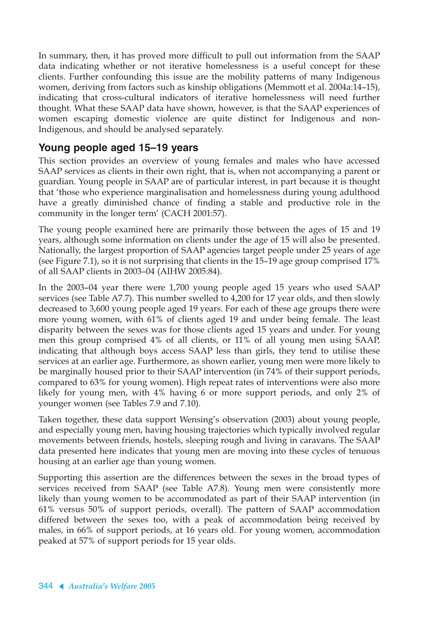In summary, then, it has proved more difficult to pull out information from the SAAP data indicating whether or not iterative homelessness is a useful concept for these clients. Further confounding this issue are the mobility patterns of many Indigenous women, deriving from factors such as kinship obligations (Memmott et al. 2004a:14–15), indicating that cross-cultural indicators of iterative homelessness will need further thought. What these SAAP data have shown, however, is that the SAAP experiences of women escaping domestic violence are quite distinct for Indigenous and non-Indigenous, and should be analysed separately.

### **Young people aged 15–19 years**

This section provides an overview of young females and males who have accessed SAAP services as clients in their own right, that is, when not accompanying a parent or guardian. Young people in SAAP are of particular interest, in part because it is thought that 'those who experience marginalisation and homelessness during young adulthood have a greatly diminished chance of finding a stable and productive role in the community in the longer term' (CACH 2001:57).

The young people examined here are primarily those between the ages of 15 and 19 years, although some information on clients under the age of 15 will also be presented. Nationally, the largest proportion of SAAP agencies target people under 25 years of age (see Figure 7.1), so it is not surprising that clients in the 15–19 age group comprised 17% of all SAAP clients in 2003–04 (AIHW 2005:84).

In the 2003–04 year there were 1,700 young people aged 15 years who used SAAP services (see Table A7.7). This number swelled to 4,200 for 17 year olds, and then slowly decreased to 3,600 young people aged 19 years. For each of these age groups there were more young women, with 61% of clients aged 19 and under being female. The least disparity between the sexes was for those clients aged 15 years and under. For young men this group comprised 4% of all clients, or 11% of all young men using SAAP, indicating that although boys access SAAP less than girls, they tend to utilise these services at an earlier age. Furthermore, as shown earlier, young men were more likely to be marginally housed prior to their SAAP intervention (in 74% of their support periods, compared to 63% for young women). High repeat rates of interventions were also more likely for young men, with 4% having 6 or more support periods, and only 2% of younger women (see Tables 7.9 and 7.10).

Taken together, these data support Wensing's observation (2003) about young people, and especially young men, having housing trajectories which typically involved regular movements between friends, hostels, sleeping rough and living in caravans. The SAAP data presented here indicates that young men are moving into these cycles of tenuous housing at an earlier age than young women.

Supporting this assertion are the differences between the sexes in the broad types of services received from SAAP (see Table A7.8). Young men were consistently more likely than young women to be accommodated as part of their SAAP intervention (in 61% versus 50% of support periods, overall). The pattern of SAAP accommodation differed between the sexes too, with a peak of accommodation being received by males, in 66% of support periods, at 16 years old. For young women, accommodation peaked at 57% of support periods for 15 year olds.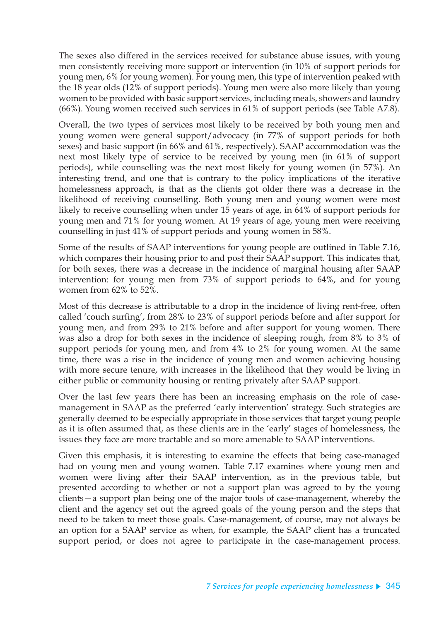The sexes also differed in the services received for substance abuse issues, with young men consistently receiving more support or intervention (in 10% of support periods for young men, 6% for young women). For young men, this type of intervention peaked with the 18 year olds (12% of support periods). Young men were also more likely than young women to be provided with basic support services, including meals, showers and laundry (66%). Young women received such services in 61% of support periods (see Table A7.8).

Overall, the two types of services most likely to be received by both young men and young women were general support/advocacy (in 77% of support periods for both sexes) and basic support (in 66% and 61%, respectively). SAAP accommodation was the next most likely type of service to be received by young men (in 61% of support periods), while counselling was the next most likely for young women (in 57%). An interesting trend, and one that is contrary to the policy implications of the iterative homelessness approach, is that as the clients got older there was a decrease in the likelihood of receiving counselling. Both young men and young women were most likely to receive counselling when under 15 years of age, in 64% of support periods for young men and 71% for young women. At 19 years of age, young men were receiving counselling in just 41% of support periods and young women in 58%.

Some of the results of SAAP interventions for young people are outlined in Table 7.16, which compares their housing prior to and post their SAAP support. This indicates that, for both sexes, there was a decrease in the incidence of marginal housing after SAAP intervention: for young men from 73% of support periods to 64%, and for young women from 62% to 52%.

Most of this decrease is attributable to a drop in the incidence of living rent-free, often called 'couch surfing', from 28% to 23% of support periods before and after support for young men, and from 29% to 21% before and after support for young women. There was also a drop for both sexes in the incidence of sleeping rough, from 8% to 3% of support periods for young men, and from 4% to 2% for young women. At the same time, there was a rise in the incidence of young men and women achieving housing with more secure tenure, with increases in the likelihood that they would be living in either public or community housing or renting privately after SAAP support.

Over the last few years there has been an increasing emphasis on the role of casemanagement in SAAP as the preferred 'early intervention' strategy. Such strategies are generally deemed to be especially appropriate in those services that target young people as it is often assumed that, as these clients are in the 'early' stages of homelessness, the issues they face are more tractable and so more amenable to SAAP interventions.

Given this emphasis, it is interesting to examine the effects that being case-managed had on young men and young women. Table 7.17 examines where young men and women were living after their SAAP intervention, as in the previous table, but presented according to whether or not a support plan was agreed to by the young clients—a support plan being one of the major tools of case-management, whereby the client and the agency set out the agreed goals of the young person and the steps that need to be taken to meet those goals. Case-management, of course, may not always be an option for a SAAP service as when, for example, the SAAP client has a truncated support period, or does not agree to participate in the case-management process.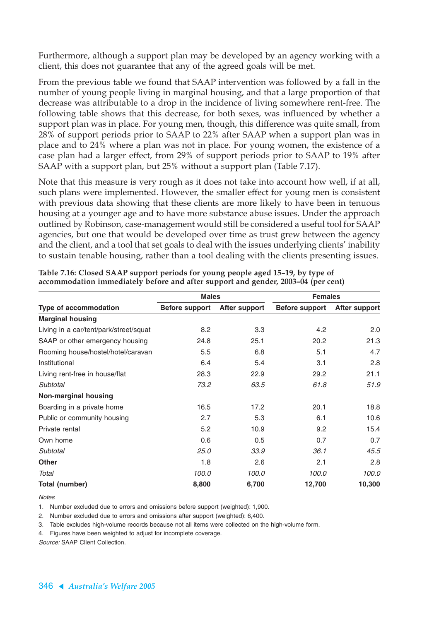Furthermore, although a support plan may be developed by an agency working with a client, this does not guarantee that any of the agreed goals will be met.

From the previous table we found that SAAP intervention was followed by a fall in the number of young people living in marginal housing, and that a large proportion of that decrease was attributable to a drop in the incidence of living somewhere rent-free. The following table shows that this decrease, for both sexes, was influenced by whether a support plan was in place. For young men, though, this difference was quite small, from 28% of support periods prior to SAAP to 22% after SAAP when a support plan was in place and to 24% where a plan was not in place. For young women, the existence of a case plan had a larger effect, from 29% of support periods prior to SAAP to 19% after SAAP with a support plan, but 25% without a support plan (Table 7.17).

Note that this measure is very rough as it does not take into account how well, if at all, such plans were implemented. However, the smaller effect for young men is consistent with previous data showing that these clients are more likely to have been in tenuous housing at a younger age and to have more substance abuse issues. Under the approach outlined by Robinson, case-management would still be considered a useful tool for SAAP agencies, but one that would be developed over time as trust grew between the agency and the client, and a tool that set goals to deal with the issues underlying clients' inability to sustain tenable housing, rather than a tool dealing with the clients presenting issues.

|                                        | <b>Males</b>          |               | <b>Females</b>        |               |  |
|----------------------------------------|-----------------------|---------------|-----------------------|---------------|--|
| <b>Type of accommodation</b>           | <b>Before support</b> | After support | <b>Before support</b> | After support |  |
| <b>Marginal housing</b>                |                       |               |                       |               |  |
| Living in a car/tent/park/street/squat | 8.2                   | 3.3           | 4.2                   | 2.0           |  |
| SAAP or other emergency housing        | 24.8                  | 25.1          | 20.2                  | 21.3          |  |
| Rooming house/hostel/hotel/caravan     | 5.5                   | 6.8           | 5.1                   | 4.7           |  |
| Institutional                          | 6.4                   | 5.4           | 3.1                   | 2.8           |  |
| Living rent-free in house/flat         | 28.3                  | 22.9          | 29.2                  | 21.1          |  |
| Subtotal                               | 73.2                  | 63.5          | 61.8                  | 51.9          |  |
| Non-marginal housing                   |                       |               |                       |               |  |
| Boarding in a private home             | 16.5                  | 17.2          | 20.1                  | 18.8          |  |
| Public or community housing            | 2.7                   | 5.3           | 6.1                   | 10.6          |  |
| Private rental                         | 5.2                   | 10.9          | 9.2                   | 15.4          |  |
| Own home                               | 0.6                   | 0.5           | 0.7                   | 0.7           |  |
| Subtotal                               | 25.0                  | 33.9          | 36.1                  | 45.5          |  |
| <b>Other</b>                           | 1.8                   | 2.6           | 2.1                   | 2.8           |  |
| Total                                  | 100.0                 | 100.0         | 100.0                 | 100.0         |  |
| Total (number)                         | 8,800                 | 6,700         | 12,700                | 10,300        |  |

| Table 7.16: Closed SAAP support periods for young people aged 15-19, by type of   |  |
|-----------------------------------------------------------------------------------|--|
| accommodation immediately before and after support and gender, 2003–04 (per cent) |  |

**Notes** 

1. Number excluded due to errors and omissions before support (weighted): 1,900.

2. Number excluded due to errors and omissions after support (weighted): 6,400.

Table excludes high-volume records because not all items were collected on the high-volume form.

4. Figures have been weighted to adjust for incomplete coverage.

Source: SAAP Client Collection.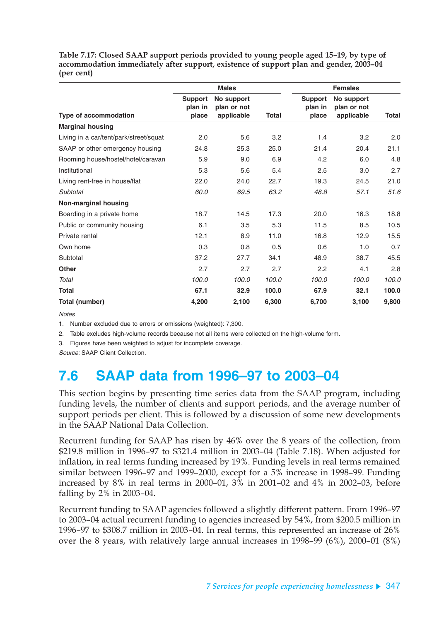**Table 7.17: Closed SAAP support periods provided to young people aged 15–19, by type of accommodation immediately after support, existence of support plan and gender, 2003–04 (per cent)**

|                                        |                                    | <b>Males</b>                            |       |                                    | <b>Females</b>                          |              |
|----------------------------------------|------------------------------------|-----------------------------------------|-------|------------------------------------|-----------------------------------------|--------------|
| Type of accommodation                  | <b>Support</b><br>plan in<br>place | No support<br>plan or not<br>applicable | Total | <b>Support</b><br>plan in<br>place | No support<br>plan or not<br>applicable | <b>Total</b> |
| <b>Marginal housing</b>                |                                    |                                         |       |                                    |                                         |              |
| Living in a car/tent/park/street/squat | 2.0                                | 5.6                                     | 3.2   | 1.4                                | 3.2                                     | 2.0          |
| SAAP or other emergency housing        | 24.8                               | 25.3                                    | 25.0  | 21.4                               | 20.4                                    | 21.1         |
| Rooming house/hostel/hotel/caravan     | 5.9                                | 9.0                                     | 6.9   | 4.2                                | 6.0                                     | 4.8          |
| Institutional                          | 5.3                                | 5.6                                     | 5.4   | 2.5                                | 3.0                                     | 2.7          |
| Living rent-free in house/flat         | 22.0                               | 24.0                                    | 22.7  | 19.3                               | 24.5                                    | 21.0         |
| Subtotal                               | 60.0                               | 69.5                                    | 63.2  | 48.8                               | 57.1                                    | 51.6         |
| Non-marginal housing                   |                                    |                                         |       |                                    |                                         |              |
| Boarding in a private home             | 18.7                               | 14.5                                    | 17.3  | 20.0                               | 16.3                                    | 18.8         |
| Public or community housing            | 6.1                                | 3.5                                     | 5.3   | 11.5                               | 8.5                                     | 10.5         |
| Private rental                         | 12.1                               | 8.9                                     | 11.0  | 16.8                               | 12.9                                    | 15.5         |
| Own home                               | 0.3                                | 0.8                                     | 0.5   | 0.6                                | 1.0                                     | 0.7          |
| Subtotal                               | 37.2                               | 27.7                                    | 34.1  | 48.9                               | 38.7                                    | 45.5         |
| <b>Other</b>                           | 2.7                                | 2.7                                     | 2.7   | 2.2                                | 4.1                                     | 2.8          |
| Total                                  | 100.0                              | 100.0                                   | 100.0 | 100.0                              | 100.0                                   | 100.0        |
| Total                                  | 67.1                               | 32.9                                    | 100.0 | 67.9                               | 32.1                                    | 100.0        |
| Total (number)                         | 4,200                              | 2,100                                   | 6,300 | 6,700                              | 3,100                                   | 9,800        |

**Notes** 

1. Number excluded due to errors or omissions (weighted): 7,300.

2. Table excludes high-volume records because not all items were collected on the high-volume form.

3. Figures have been weighted to adjust for incomplete coverage.

Source: SAAP Client Collection.

# **7.6 SAAP data from 1996–97 to 2003–04**

This section begins by presenting time series data from the SAAP program, including funding levels, the number of clients and support periods, and the average number of support periods per client. This is followed by a discussion of some new developments in the SAAP National Data Collection.

Recurrent funding for SAAP has risen by 46% over the 8 years of the collection, from \$219.8 million in 1996–97 to \$321.4 million in 2003–04 (Table 7.18). When adjusted for inflation, in real terms funding increased by 19%. Funding levels in real terms remained similar between 1996–97 and 1999–2000, except for a 5% increase in 1998–99. Funding increased by 8% in real terms in 2000–01, 3% in 2001–02 and 4% in 2002–03, before falling by 2% in 2003–04.

Recurrent funding to SAAP agencies followed a slightly different pattern. From 1996–97 to 2003–04 actual recurrent funding to agencies increased by 54%, from \$200.5 million in 1996–97 to \$308.7 million in 2003–04. In real terms, this represented an increase of 26% over the 8 years, with relatively large annual increases in 1998–99 (6%), 2000–01 (8%)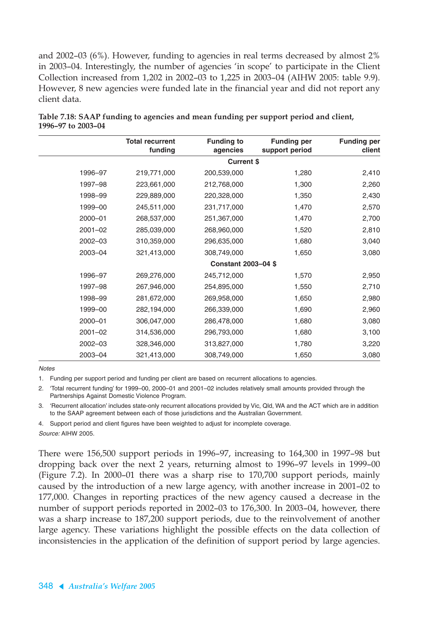and 2002–03 (6%). However, funding to agencies in real terms decreased by almost 2% in 2003–04. Interestingly, the number of agencies 'in scope' to participate in the Client Collection increased from 1,202 in 2002–03 to 1,225 in 2003–04 (AIHW 2005: table 9.9). However, 8 new agencies were funded late in the financial year and did not report any client data.

|             | <b>Total recurrent</b><br>funding | <b>Funding to</b><br>agencies | <b>Funding per</b><br>support period | <b>Funding per</b><br>client |
|-------------|-----------------------------------|-------------------------------|--------------------------------------|------------------------------|
|             |                                   | <b>Current \$</b>             |                                      |                              |
| 1996-97     | 219,771,000                       | 200,539,000                   | 1,280                                | 2,410                        |
| 1997-98     | 223,661,000                       | 212,768,000                   | 1,300                                | 2,260                        |
| 1998-99     | 229,889,000                       | 220,328,000                   | 1,350                                | 2,430                        |
| 1999-00     | 245,511,000                       | 231,717,000                   | 1,470                                | 2,570                        |
| 2000-01     | 268,537,000                       | 251,367,000                   | 1,470                                | 2,700                        |
| $2001 - 02$ | 285,039,000                       | 268,960,000                   | 1,520                                | 2,810                        |
| 2002-03     | 310,359,000                       | 296,635,000                   | 1,680                                | 3,040                        |
| 2003-04     | 321,413,000                       | 308,749,000                   | 1,650                                | 3,080                        |
|             |                                   | <b>Constant 2003-04 \$</b>    |                                      |                              |
| 1996-97     | 269,276,000                       | 245,712,000                   | 1,570                                | 2,950                        |
| 1997-98     | 267,946,000                       | 254,895,000                   | 1,550                                | 2,710                        |
| 1998-99     | 281,672,000                       | 269,958,000                   | 1,650                                | 2,980                        |
| 1999-00     | 282,194,000                       | 266,339,000                   | 1,690                                | 2,960                        |
| 2000-01     | 306,047,000                       | 286,478,000                   | 1,680                                | 3,080                        |
| 2001-02     | 314,536,000                       | 296,793,000                   | 1,680                                | 3,100                        |
| 2002-03     | 328,346,000                       | 313,827,000                   | 1,780                                | 3,220                        |
| 2003-04     | 321,413,000                       | 308,749,000                   | 1,650                                | 3,080                        |

**Table 7.18: SAAP funding to agencies and mean funding per support period and client, 1996–97 to 2003–04**

**Notes** 

1. Funding per support period and funding per client are based on recurrent allocations to agencies.

2. 'Total recurrent funding' for 1999–00, 2000–01 and 2001–02 includes relatively small amounts provided through the Partnerships Against Domestic Violence Program.

3. 'Recurrent allocation' includes state-only recurrent allocations provided by Vic, Qld, WA and the ACT which are in addition to the SAAP agreement between each of those jurisdictions and the Australian Government.

4. Support period and client figures have been weighted to adjust for incomplete coverage. Source: AIHW 2005.

There were 156,500 support periods in 1996–97, increasing to 164,300 in 1997–98 but dropping back over the next 2 years, returning almost to 1996–97 levels in 1999–00 (Figure 7.2). In 2000–01 there was a sharp rise to 170,700 support periods, mainly caused by the introduction of a new large agency, with another increase in 2001–02 to 177,000. Changes in reporting practices of the new agency caused a decrease in the number of support periods reported in 2002–03 to 176,300. In 2003–04, however, there was a sharp increase to 187,200 support periods, due to the reinvolvement of another large agency. These variations highlight the possible effects on the data collection of inconsistencies in the application of the definition of support period by large agencies.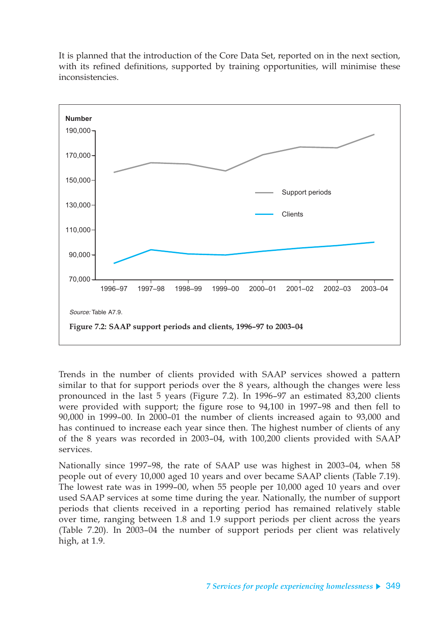

It is planned that the introduction of the Core Data Set, reported on in the next section, with its refined definitions, supported by training opportunities, will minimise these inconsistencies.

Trends in the number of clients provided with SAAP services showed a pattern similar to that for support periods over the 8 years, although the changes were less pronounced in the last 5 years (Figure 7.2). In 1996–97 an estimated 83,200 clients were provided with support; the figure rose to 94,100 in 1997–98 and then fell to 90,000 in 1999–00. In 2000–01 the number of clients increased again to 93,000 and has continued to increase each year since then. The highest number of clients of any of the 8 years was recorded in 2003–04, with 100,200 clients provided with SAAP services.

Nationally since 1997–98, the rate of SAAP use was highest in 2003–04, when 58 people out of every 10,000 aged 10 years and over became SAAP clients (Table 7.19). The lowest rate was in 1999–00, when 55 people per 10,000 aged 10 years and over used SAAP services at some time during the year. Nationally, the number of support periods that clients received in a reporting period has remained relatively stable over time, ranging between 1.8 and 1.9 support periods per client across the years (Table 7.20). In 2003–04 the number of support periods per client was relatively high, at 1.9.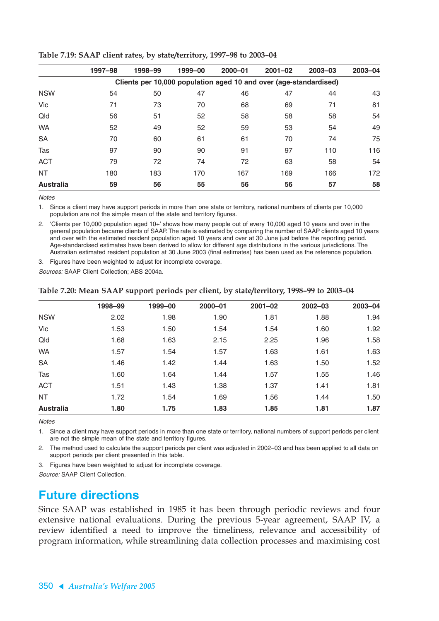|                  | 1997-98 | 1998-99                                                           | 1999-00 | $2000 - 01$ | $2001 - 02$ | $2003 - 03$ | $2003 - 04$ |
|------------------|---------|-------------------------------------------------------------------|---------|-------------|-------------|-------------|-------------|
|                  |         | Clients per 10,000 population aged 10 and over (age-standardised) |         |             |             |             |             |
| <b>NSW</b>       | 54      | 50                                                                | 47      | 46          | 47          | 44          | 43          |
| Vic              | 71      | 73                                                                | 70      | 68          | 69          | 71          | 81          |
| Qld              | 56      | 51                                                                | 52      | 58          | 58          | 58          | 54          |
| <b>WA</b>        | 52      | 49                                                                | 52      | 59          | 53          | 54          | 49          |
| <b>SA</b>        | 70      | 60                                                                | 61      | 61          | 70          | 74          | 75          |
| Tas              | 97      | 90                                                                | 90      | 91          | 97          | 110         | 116         |
| <b>ACT</b>       | 79      | 72                                                                | 74      | 72          | 63          | 58          | 54          |
| <b>NT</b>        | 180     | 183                                                               | 170     | 167         | 169         | 166         | 172         |
| <b>Australia</b> | 59      | 56                                                                | 55      | 56          | 56          | 57          | 58          |

#### **Table 7.19: SAAP client rates, by state/territory, 1997–98 to 2003–04**

**Notes** 

1. Since a client may have support periods in more than one state or territory, national numbers of clients per 10,000 population are not the simple mean of the state and territory figures.

2. 'Clients per 10,000 population aged 10+' shows how many people out of every 10,000 aged 10 years and over in the general population became clients of SAAP. The rate is estimated by comparing the number of SAAP clients aged 10 years and over with the estimated resident population aged 10 years and over at 30 June just before the reporting period. Age-standardised estimates have been derived to allow for different age distributions in the various jurisdictions. The Australian estimated resident population at 30 June 2003 (final estimates) has been used as the reference population.

3. Figures have been weighted to adjust for incomplete coverage.

Sources: SAAP Client Collection; ABS 2004a.

|                  | 1998-99 | 1999-00 | $2000 - 01$ | $2001 - 02$ | $2002 - 03$ | $2003 - 04$ |
|------------------|---------|---------|-------------|-------------|-------------|-------------|
| <b>NSW</b>       | 2.02    | 1.98    | 1.90        | 1.81        | 1.88        | 1.94        |
| Vic              | 1.53    | 1.50    | 1.54        | 1.54        | 1.60        | 1.92        |
| Qld              | 1.68    | 1.63    | 2.15        | 2.25        | 1.96        | 1.58        |
| <b>WA</b>        | 1.57    | 1.54    | 1.57        | 1.63        | 1.61        | 1.63        |
| <b>SA</b>        | 1.46    | 1.42    | 1.44        | 1.63        | 1.50        | 1.52        |
| Tas              | 1.60    | 1.64    | 1.44        | 1.57        | 1.55        | 1.46        |
| <b>ACT</b>       | 1.51    | 1.43    | 1.38        | 1.37        | 1.41        | 1.81        |
| <b>NT</b>        | 1.72    | 1.54    | 1.69        | 1.56        | 1.44        | 1.50        |
| <b>Australia</b> | 1.80    | 1.75    | 1.83        | 1.85        | 1.81        | 1.87        |

#### **Table 7.20: Mean SAAP support periods per client, by state/territory, 1998–99 to 2003–04**

**Notes** 

1. Since a client may have support periods in more than one state or territory, national numbers of support periods per client are not the simple mean of the state and territory figures.

2. The method used to calculate the support periods per client was adjusted in 2002–03 and has been applied to all data on support periods per client presented in this table.

3. Figures have been weighted to adjust for incomplete coverage.

Source: SAAP Client Collection.

## **Future directions**

Since SAAP was established in 1985 it has been through periodic reviews and four extensive national evaluations. During the previous 5-year agreement, SAAP IV, a review identified a need to improve the timeliness, relevance and accessibility of program information, while streamlining data collection processes and maximising cost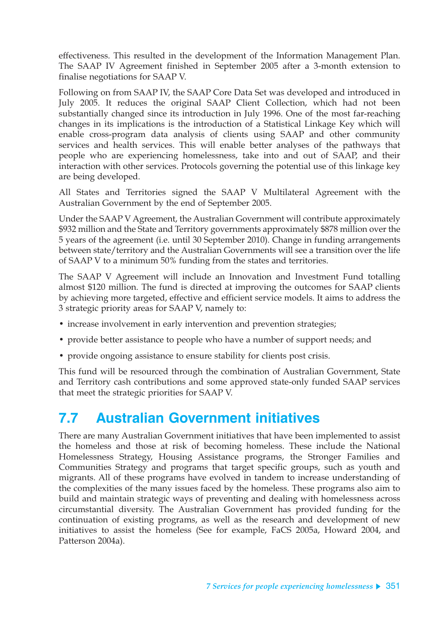effectiveness. This resulted in the development of the Information Management Plan. The SAAP IV Agreement finished in September 2005 after a 3-month extension to finalise negotiations for SAAP V.

Following on from SAAP IV, the SAAP Core Data Set was developed and introduced in July 2005. It reduces the original SAAP Client Collection, which had not been substantially changed since its introduction in July 1996. One of the most far-reaching changes in its implications is the introduction of a Statistical Linkage Key which will enable cross-program data analysis of clients using SAAP and other community services and health services. This will enable better analyses of the pathways that people who are experiencing homelessness, take into and out of SAAP, and their interaction with other services. Protocols governing the potential use of this linkage key are being developed.

All States and Territories signed the SAAP V Multilateral Agreement with the Australian Government by the end of September 2005.

Under the SAAP V Agreement, the Australian Government will contribute approximately \$932 million and the State and Territory governments approximately \$878 million over the 5 years of the agreement (i.e. until 30 September 2010). Change in funding arrangements between state/territory and the Australian Governments will see a transition over the life of SAAP V to a minimum 50% funding from the states and territories.

The SAAP V Agreement will include an Innovation and Investment Fund totalling almost \$120 million. The fund is directed at improving the outcomes for SAAP clients by achieving more targeted, effective and efficient service models. It aims to address the 3 strategic priority areas for SAAP V, namely to:

- increase involvement in early intervention and prevention strategies;
- provide better assistance to people who have a number of support needs; and
- provide ongoing assistance to ensure stability for clients post crisis.

This fund will be resourced through the combination of Australian Government, State and Territory cash contributions and some approved state-only funded SAAP services that meet the strategic priorities for SAAP V.

# **7.7 Australian Government initiatives**

There are many Australian Government initiatives that have been implemented to assist the homeless and those at risk of becoming homeless. These include the National Homelessness Strategy, Housing Assistance programs, the Stronger Families and Communities Strategy and programs that target specific groups, such as youth and migrants. All of these programs have evolved in tandem to increase understanding of the complexities of the many issues faced by the homeless. These programs also aim to build and maintain strategic ways of preventing and dealing with homelessness across circumstantial diversity. The Australian Government has provided funding for the continuation of existing programs, as well as the research and development of new initiatives to assist the homeless (See for example, FaCS 2005a, Howard 2004, and Patterson 2004a).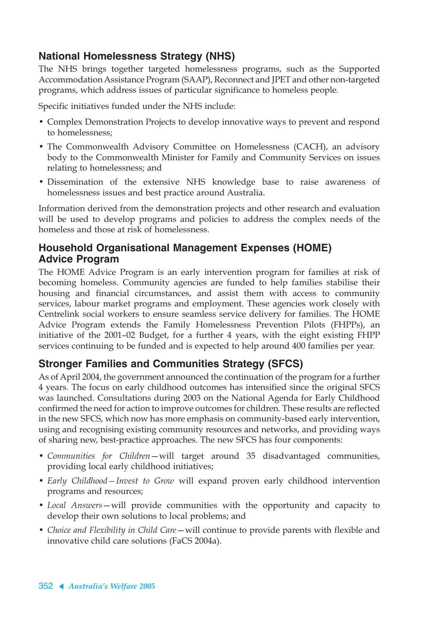## **National Homelessness Strategy (NHS)**

The NHS brings together targeted homelessness programs, such as the Supported Accommodation Assistance Program (SAAP), Reconnect and JPET and other non-targeted programs, which address issues of particular significance to homeless people.

Specific initiatives funded under the NHS include:

- Complex Demonstration Projects to develop innovative ways to prevent and respond to homelessness;
- The Commonwealth Advisory Committee on Homelessness (CACH), an advisory body to the Commonwealth Minister for Family and Community Services on issues relating to homelessness; and
- Dissemination of the extensive NHS knowledge base to raise awareness of homelessness issues and best practice around Australia.

Information derived from the demonstration projects and other research and evaluation will be used to develop programs and policies to address the complex needs of the homeless and those at risk of homelessness.

### **Household Organisational Management Expenses (HOME) Advice Program**

The HOME Advice Program is an early intervention program for families at risk of becoming homeless. Community agencies are funded to help families stabilise their housing and financial circumstances, and assist them with access to community services, labour market programs and employment. These agencies work closely with Centrelink social workers to ensure seamless service delivery for families. The HOME Advice Program extends the Family Homelessness Prevention Pilots (FHPPs), an initiative of the 2001–02 Budget, for a further 4 years, with the eight existing FHPP services continuing to be funded and is expected to help around 400 families per year.

## **Stronger Families and Communities Strategy (SFCS)**

As of April 2004, the government announced the continuation of the program for a further 4 years. The focus on early childhood outcomes has intensified since the original SFCS was launched. Consultations during 2003 on the National Agenda for Early Childhood confirmed the need for action to improve outcomes for children. These results are reflected in the new SFCS, which now has more emphasis on community-based early intervention, using and recognising existing community resources and networks, and providing ways of sharing new, best-practice approaches. The new SFCS has four components:

- *Communities for Children*—will target around 35 disadvantaged communities, providing local early childhood initiatives;
- *Early Childhood—Invest to Grow* will expand proven early childhood intervention programs and resources;
- *Local Answers*—will provide communities with the opportunity and capacity to develop their own solutions to local problems; and
- *Choice and Flexibility in Child Care*—will continue to provide parents with flexible and innovative child care solutions (FaCS 2004a).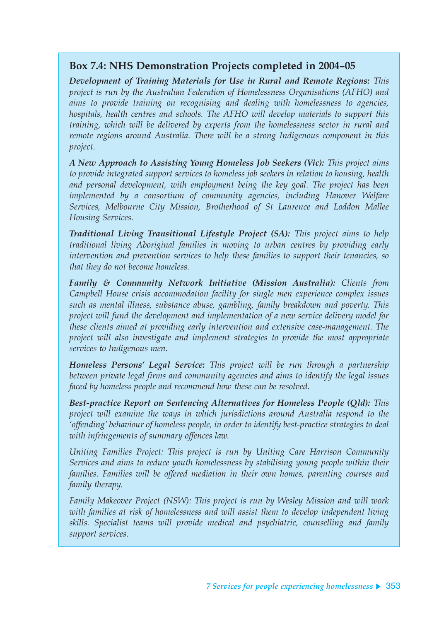## **Box 7.4: NHS Demonstration Projects completed in 2004–05**

*Development of Training Materials for Use in Rural and Remote Regions: This project is run by the Australian Federation of Homelessness Organisations (AFHO) and aims to provide training on recognising and dealing with homelessness to agencies, hospitals, health centres and schools. The AFHO will develop materials to support this training, which will be delivered by experts from the homelessness sector in rural and remote regions around Australia. There will be a strong Indigenous component in this project.*

*A New Approach to Assisting Young Homeless Job Seekers (Vic): This project aims to provide integrated support services to homeless job seekers in relation to housing, health and personal development, with employment being the key goal. The project has been implemented by a consortium of community agencies, including Hanover Welfare Services, Melbourne City Mission, Brotherhood of St Laurence and Loddon Mallee Housing Services.*

*Traditional Living Transitional Lifestyle Project (SA): This project aims to help traditional living Aboriginal families in moving to urban centres by providing early intervention and prevention services to help these families to support their tenancies, so that they do not become homeless.*

*Family & Community Network Initiative (Mission Australia): Clients from Campbell House crisis accommodation facility for single men experience complex issues such as mental illness, substance abuse, gambling, family breakdown and poverty. This project will fund the development and implementation of a new service delivery model for these clients aimed at providing early intervention and extensive case-management. The project will also investigate and implement strategies to provide the most appropriate services to Indigenous men.*

*Homeless Persons' Legal Service: This project will be run through a partnership between private legal firms and community agencies and aims to identify the legal issues faced by homeless people and recommend how these can be resolved.*

*Best-practice Report on Sentencing Alternatives for Homeless People (Qld): This project will examine the ways in which jurisdictions around Australia respond to the 'offending' behaviour of homeless people, in order to identify best-practice strategies to deal with infringements of summary offences law.*

*Uniting Families Project: This project is run by Uniting Care Harrison Community Services and aims to reduce youth homelessness by stabilising young people within their families. Families will be offered mediation in their own homes, parenting courses and family therapy.*

*Family Makeover Project (NSW): This project is run by Wesley Mission and will work with families at risk of homelessness and will assist them to develop independent living skills. Specialist teams will provide medical and psychiatric, counselling and family support services.*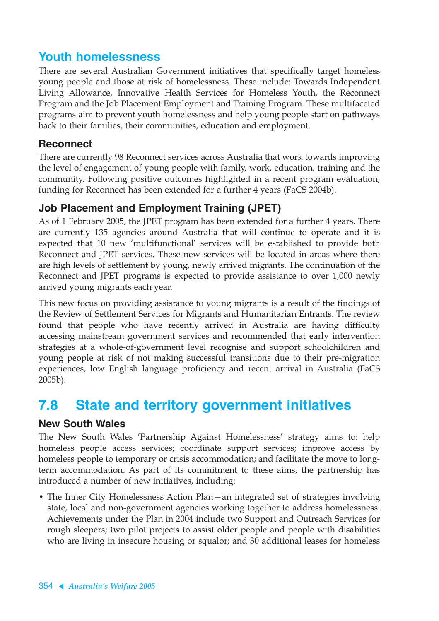# **Youth homelessness**

There are several Australian Government initiatives that specifically target homeless young people and those at risk of homelessness. These include: Towards Independent Living Allowance, Innovative Health Services for Homeless Youth, the Reconnect Program and the Job Placement Employment and Training Program. These multifaceted programs aim to prevent youth homelessness and help young people start on pathways back to their families, their communities, education and employment.

### **Reconnect**

There are currently 98 Reconnect services across Australia that work towards improving the level of engagement of young people with family, work, education, training and the community. Following positive outcomes highlighted in a recent program evaluation, funding for Reconnect has been extended for a further 4 years (FaCS 2004b).

## **Job Placement and Employment Training (JPET)**

As of 1 February 2005, the JPET program has been extended for a further 4 years. There are currently 135 agencies around Australia that will continue to operate and it is expected that 10 new 'multifunctional' services will be established to provide both Reconnect and JPET services. These new services will be located in areas where there are high levels of settlement by young, newly arrived migrants. The continuation of the Reconnect and JPET programs is expected to provide assistance to over 1,000 newly arrived young migrants each year.

This new focus on providing assistance to young migrants is a result of the findings of the Review of Settlement Services for Migrants and Humanitarian Entrants. The review found that people who have recently arrived in Australia are having difficulty accessing mainstream government services and recommended that early intervention strategies at a whole-of-government level recognise and support schoolchildren and young people at risk of not making successful transitions due to their pre-migration experiences, low English language proficiency and recent arrival in Australia (FaCS 2005b).

# **7.8 State and territory government initiatives**

### **New South Wales**

The New South Wales 'Partnership Against Homelessness' strategy aims to: help homeless people access services; coordinate support services; improve access by homeless people to temporary or crisis accommodation; and facilitate the move to longterm accommodation. As part of its commitment to these aims, the partnership has introduced a number of new initiatives, including:

• The Inner City Homelessness Action Plan—an integrated set of strategies involving state, local and non-government agencies working together to address homelessness. Achievements under the Plan in 2004 include two Support and Outreach Services for rough sleepers; two pilot projects to assist older people and people with disabilities who are living in insecure housing or squalor; and 30 additional leases for homeless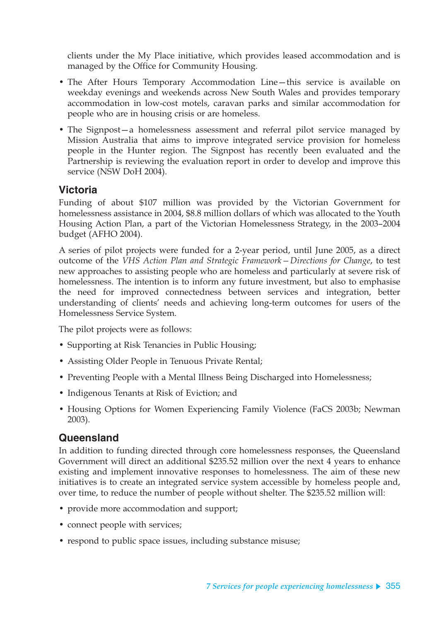clients under the My Place initiative, which provides leased accommodation and is managed by the Office for Community Housing.

- The After Hours Temporary Accommodation Line—this service is available on weekday evenings and weekends across New South Wales and provides temporary accommodation in low-cost motels, caravan parks and similar accommodation for people who are in housing crisis or are homeless.
- The Signpost—a homelessness assessment and referral pilot service managed by Mission Australia that aims to improve integrated service provision for homeless people in the Hunter region. The Signpost has recently been evaluated and the Partnership is reviewing the evaluation report in order to develop and improve this service (NSW DoH 2004).

### **Victoria**

Funding of about \$107 million was provided by the Victorian Government for homelessness assistance in 2004, \$8.8 million dollars of which was allocated to the Youth Housing Action Plan, a part of the Victorian Homelessness Strategy, in the 2003–2004 budget (AFHO 2004).

A series of pilot projects were funded for a 2-year period, until June 2005, as a direct outcome of the *VHS Action Plan and Strategic Framework—Directions for Change*, to test new approaches to assisting people who are homeless and particularly at severe risk of homelessness. The intention is to inform any future investment, but also to emphasise the need for improved connectedness between services and integration, better understanding of clients' needs and achieving long-term outcomes for users of the Homelessness Service System.

The pilot projects were as follows:

- Supporting at Risk Tenancies in Public Housing;
- Assisting Older People in Tenuous Private Rental;
- Preventing People with a Mental Illness Being Discharged into Homelessness;
- Indigenous Tenants at Risk of Eviction; and
- Housing Options for Women Experiencing Family Violence (FaCS 2003b; Newman 2003).

### **Queensland**

In addition to funding directed through core homelessness responses, the Queensland Government will direct an additional \$235.52 million over the next 4 years to enhance existing and implement innovative responses to homelessness. The aim of these new initiatives is to create an integrated service system accessible by homeless people and, over time, to reduce the number of people without shelter. The \$235.52 million will:

- provide more accommodation and support;
- connect people with services;
- respond to public space issues, including substance misuse;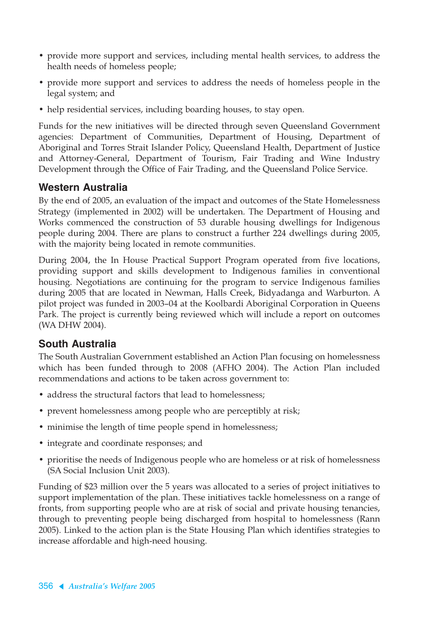- provide more support and services, including mental health services, to address the health needs of homeless people;
- provide more support and services to address the needs of homeless people in the legal system; and
- help residential services, including boarding houses, to stay open.

Funds for the new initiatives will be directed through seven Queensland Government agencies: Department of Communities, Department of Housing, Department of Aboriginal and Torres Strait Islander Policy, Queensland Health, Department of Justice and Attorney-General, Department of Tourism, Fair Trading and Wine Industry Development through the Office of Fair Trading, and the Queensland Police Service.

## **Western Australia**

By the end of 2005, an evaluation of the impact and outcomes of the State Homelessness Strategy (implemented in 2002) will be undertaken. The Department of Housing and Works commenced the construction of 53 durable housing dwellings for Indigenous people during 2004. There are plans to construct a further 224 dwellings during 2005, with the majority being located in remote communities.

During 2004, the In House Practical Support Program operated from five locations, providing support and skills development to Indigenous families in conventional housing. Negotiations are continuing for the program to service Indigenous families during 2005 that are located in Newman, Halls Creek, Bidyadanga and Warburton. A pilot project was funded in 2003–04 at the Koolbardi Aboriginal Corporation in Queens Park. The project is currently being reviewed which will include a report on outcomes (WA DHW 2004).

### **South Australia**

The South Australian Government established an Action Plan focusing on homelessness which has been funded through to 2008 (AFHO 2004). The Action Plan included recommendations and actions to be taken across government to:

- address the structural factors that lead to homelessness;
- prevent homelessness among people who are perceptibly at risk;
- minimise the length of time people spend in homelessness;
- integrate and coordinate responses; and
- prioritise the needs of Indigenous people who are homeless or at risk of homelessness (SA Social Inclusion Unit 2003).

Funding of \$23 million over the 5 years was allocated to a series of project initiatives to support implementation of the plan. These initiatives tackle homelessness on a range of fronts, from supporting people who are at risk of social and private housing tenancies, through to preventing people being discharged from hospital to homelessness (Rann 2005). Linked to the action plan is the State Housing Plan which identifies strategies to increase affordable and high-need housing.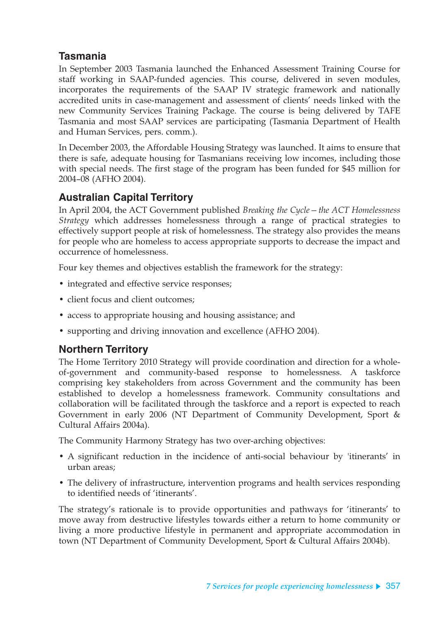## **Tasmania**

In September 2003 Tasmania launched the Enhanced Assessment Training Course for staff working in SAAP-funded agencies. This course, delivered in seven modules, incorporates the requirements of the SAAP IV strategic framework and nationally accredited units in case-management and assessment of clients' needs linked with the new Community Services Training Package. The course is being delivered by TAFE Tasmania and most SAAP services are participating (Tasmania Department of Health and Human Services, pers. comm.).

In December 2003, the Affordable Housing Strategy was launched. It aims to ensure that there is safe, adequate housing for Tasmanians receiving low incomes, including those with special needs. The first stage of the program has been funded for \$45 million for 2004–08 (AFHO 2004).

### **Australian Capital Territory**

In April 2004, the ACT Government published *Breaking the Cycle—the ACT Homelessness Strategy* which addresses homelessness through a range of practical strategies to effectively support people at risk of homelessness. The strategy also provides the means for people who are homeless to access appropriate supports to decrease the impact and occurrence of homelessness.

Four key themes and objectives establish the framework for the strategy:

- integrated and effective service responses;
- client focus and client outcomes;
- access to appropriate housing and housing assistance; and
- supporting and driving innovation and excellence (AFHO 2004).

### **Northern Territory**

The Home Territory 2010 Strategy will provide coordination and direction for a wholeof-government and community-based response to homelessness. A taskforce comprising key stakeholders from across Government and the community has been established to develop a homelessness framework. Community consultations and collaboration will be facilitated through the taskforce and a report is expected to reach Government in early 2006 (NT Department of Community Development, Sport & Cultural Affairs 2004a).

The Community Harmony Strategy has two over-arching objectives:

- A significant reduction in the incidence of anti-social behaviour by 'itinerants' in urban areas;
- The delivery of infrastructure, intervention programs and health services responding to identified needs of 'itinerants'.

The strategy's rationale is to provide opportunities and pathways for 'itinerants' to move away from destructive lifestyles towards either a return to home community or living a more productive lifestyle in permanent and appropriate accommodation in town (NT Department of Community Development, Sport & Cultural Affairs 2004b).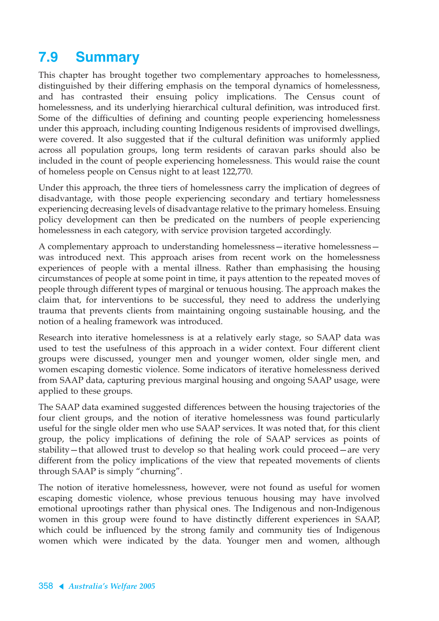# **7.9 Summary**

This chapter has brought together two complementary approaches to homelessness, distinguished by their differing emphasis on the temporal dynamics of homelessness, and has contrasted their ensuing policy implications. The Census count of homelessness, and its underlying hierarchical cultural definition, was introduced first. Some of the difficulties of defining and counting people experiencing homelessness under this approach, including counting Indigenous residents of improvised dwellings, were covered. It also suggested that if the cultural definition was uniformly applied across all population groups, long term residents of caravan parks should also be included in the count of people experiencing homelessness. This would raise the count of homeless people on Census night to at least 122,770.

Under this approach, the three tiers of homelessness carry the implication of degrees of disadvantage, with those people experiencing secondary and tertiary homelessness experiencing decreasing levels of disadvantage relative to the primary homeless. Ensuing policy development can then be predicated on the numbers of people experiencing homelessness in each category, with service provision targeted accordingly.

A complementary approach to understanding homelessness—iterative homelessness was introduced next. This approach arises from recent work on the homelessness experiences of people with a mental illness. Rather than emphasising the housing circumstances of people at some point in time, it pays attention to the repeated moves of people through different types of marginal or tenuous housing. The approach makes the claim that, for interventions to be successful, they need to address the underlying trauma that prevents clients from maintaining ongoing sustainable housing, and the notion of a healing framework was introduced.

Research into iterative homelessness is at a relatively early stage, so SAAP data was used to test the usefulness of this approach in a wider context. Four different client groups were discussed, younger men and younger women, older single men, and women escaping domestic violence. Some indicators of iterative homelessness derived from SAAP data, capturing previous marginal housing and ongoing SAAP usage, were applied to these groups.

The SAAP data examined suggested differences between the housing trajectories of the four client groups, and the notion of iterative homelessness was found particularly useful for the single older men who use SAAP services. It was noted that, for this client group, the policy implications of defining the role of SAAP services as points of stability—that allowed trust to develop so that healing work could proceed—are very different from the policy implications of the view that repeated movements of clients through SAAP is simply "churning".

The notion of iterative homelessness, however, were not found as useful for women escaping domestic violence, whose previous tenuous housing may have involved emotional uprootings rather than physical ones. The Indigenous and non-Indigenous women in this group were found to have distinctly different experiences in SAAP, which could be influenced by the strong family and community ties of Indigenous women which were indicated by the data. Younger men and women, although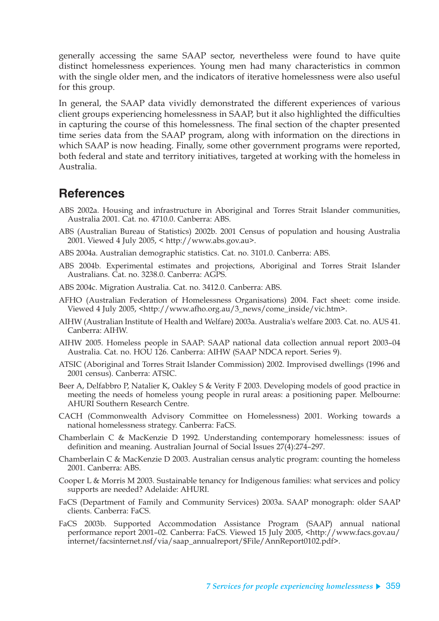generally accessing the same SAAP sector, nevertheless were found to have quite distinct homelessness experiences. Young men had many characteristics in common with the single older men, and the indicators of iterative homelessness were also useful for this group.

In general, the SAAP data vividly demonstrated the different experiences of various client groups experiencing homelessness in SAAP, but it also highlighted the difficulties in capturing the course of this homelessness. The final section of the chapter presented time series data from the SAAP program, along with information on the directions in which SAAP is now heading. Finally, some other government programs were reported, both federal and state and territory initiatives, targeted at working with the homeless in Australia.

## **References**

- ABS 2002a. Housing and infrastructure in Aboriginal and Torres Strait Islander communities, Australia 2001. Cat. no. 4710.0. Canberra: ABS.
- ABS (Australian Bureau of Statistics) 2002b. 2001 Census of population and housing Australia 2001. Viewed 4 July 2005, < http://www.abs.gov.au>.
- ABS 2004a. Australian demographic statistics. Cat. no. 3101.0. Canberra: ABS.
- ABS 2004b. Experimental estimates and projections, Aboriginal and Torres Strait Islander Australians. Cat. no. 3238.0. Canberra: AGPS.
- ABS 2004c. Migration Australia. Cat. no. 3412.0. Canberra: ABS.
- AFHO (Australian Federation of Homelessness Organisations) 2004. Fact sheet: come inside. Viewed 4 July 2005, <http://www.afho.org.au/3\_news/come\_inside/vic.htm>.
- AIHW (Australian Institute of Health and Welfare) 2003a. Australia's welfare 2003. Cat. no. AUS 41. Canberra: AIHW.
- AIHW 2005. Homeless people in SAAP: SAAP national data collection annual report 2003–04 Australia. Cat. no. HOU 126. Canberra: AIHW (SAAP NDCA report. Series 9).
- ATSIC (Aboriginal and Torres Strait Islander Commission) 2002. Improvised dwellings (1996 and 2001 census). Canberra: ATSIC.
- Beer A, Delfabbro P, Natalier K, Oakley S & Verity F 2003. Developing models of good practice in meeting the needs of homeless young people in rural areas: a positioning paper. Melbourne: AHURI Southern Research Centre.
- CACH (Commonwealth Advisory Committee on Homelessness) 2001. Working towards a national homelessness strategy. Canberra: FaCS.
- Chamberlain C & MacKenzie D 1992. Understanding contemporary homelessness: issues of definition and meaning. Australian Journal of Social Issues 27(4):274–297.
- Chamberlain C & MacKenzie D 2003. Australian census analytic program: counting the homeless 2001. Canberra: ABS.
- Cooper L & Morris M 2003. Sustainable tenancy for Indigenous families: what services and policy supports are needed? Adelaide: AHURI.
- FaCS (Department of Family and Community Services) 2003a. SAAP monograph: older SAAP clients. Canberra: FaCS.
- FaCS 2003b. Supported Accommodation Assistance Program (SAAP) annual national performance report 2001–02. Canberra: FaCS. Viewed 15 July 2005, <http://www.facs.gov.au/ internet/facsinternet.nsf/via/saap\_annualreport/\$File/AnnReport0102.pdf>.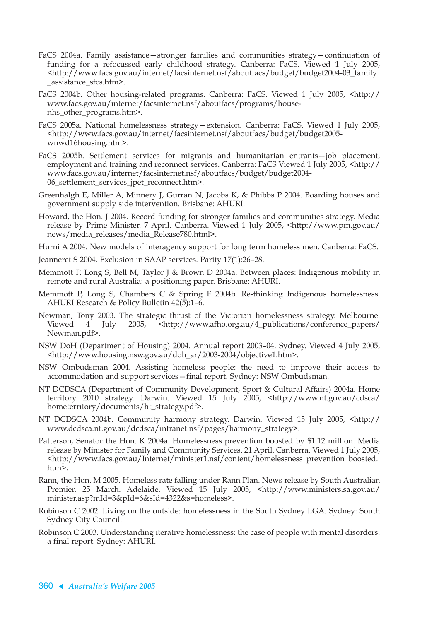- FaCS 2004a. Family assistance—stronger families and communities strategy—continuation of funding for a refocussed early childhood strategy. Canberra: FaCS. Viewed 1 July 2005, <http://www.facs.gov.au/internet/facsinternet.nsf/aboutfacs/budget/budget2004-03\_family \_assistance\_sfcs.htm>.
- FaCS 2004b. Other housing-related programs. Canberra: FaCS. Viewed 1 July 2005, <http:// www.facs.gov.au/internet/facsinternet.nsf/aboutfacs/programs/housenhs\_other\_programs.htm>.
- FaCS 2005a. National homelessness strategy—extension. Canberra: FaCS. Viewed 1 July 2005, <http://www.facs.gov.au/internet/facsinternet.nsf/aboutfacs/budget/budget2005 wnwd16housing.htm>.
- FaCS 2005b. Settlement services for migrants and humanitarian entrants—job placement, employment and training and reconnect services. Canberra: FaCS Viewed 1 July 2005, <http:// www.facs.gov.au/internet/facsinternet.nsf/aboutfacs/budget/budget2004- 06\_settlement\_services\_jpet\_reconnect.htm>.
- Greenhalgh E, Miller A, Minnery J, Gurran N, Jacobs K, & Phibbs P 2004. Boarding houses and government supply side intervention. Brisbane: AHURI.
- Howard, the Hon. J 2004. Record funding for stronger families and communities strategy. Media release by Prime Minister. 7 April. Canberra. Viewed 1 July 2005, <http://www.pm.gov.au/ news/media\_releases/media\_Release780.html>.
- Hurni A 2004. New models of interagency support for long term homeless men. Canberra: FaCS.
- Jeanneret S 2004. Exclusion in SAAP services. Parity 17(1):26–28.
- Memmott P, Long S, Bell M, Taylor J & Brown D 2004a. Between places: Indigenous mobility in remote and rural Australia: a positioning paper. Brisbane: AHURI.
- Memmott P, Long S, Chambers C & Spring F 2004b. Re-thinking Indigenous homelessness. AHURI Research & Policy Bulletin 42(5):1–6.
- Newman, Tony 2003. The strategic thrust of the Victorian homelessness strategy. Melbourne. Viewed 4 July 2005, <http://www.afho.org.au/4\_publications/conference\_papers/ Newman.pdf>.
- NSW DoH (Department of Housing) 2004. Annual report 2003–04. Sydney. Viewed 4 July 2005, <http://www.housing.nsw.gov.au/doh\_ar/2003-2004/objective1.htm>.
- NSW Ombudsman 2004. Assisting homeless people: the need to improve their access to accommodation and support services—final report. Sydney: NSW Ombudsman.
- NT DCDSCA (Department of Community Development, Sport & Cultural Affairs) 2004a. Home territory 2010 strategy. Darwin. Viewed 15 July 2005, <http://www.nt.gov.au/cdsca/ hometerritory/documents/ht\_strategy.pdf>.
- NT DCDSCA 2004b. Community harmony strategy. Darwin. Viewed 15 July 2005, <http:// www.dcdsca.nt.gov.au/dcdsca/intranet.nsf/pages/harmony\_strategy>.
- Patterson, Senator the Hon. K 2004a. Homelessness prevention boosted by \$1.12 million. Media release by Minister for Family and Community Services. 21 April. Canberra. Viewed 1 July 2005, <http://www.facs.gov.au/Internet/minister1.nsf/content/homelessness\_prevention\_boosted. htm>.
- Rann, the Hon. M 2005. Homeless rate falling under Rann Plan. News release by South Australian Premier. 25 March. Adelaide. Viewed 15 July 2005, <http://www.ministers.sa.gov.au/ minister.asp?mId=3&pId=6&sId=4322&s=homeless>.
- Robinson C 2002. Living on the outside: homelessness in the South Sydney LGA. Sydney: South Sydney City Council.
- Robinson C 2003. Understanding iterative homelessness: the case of people with mental disorders: a final report. Sydney: AHURI.